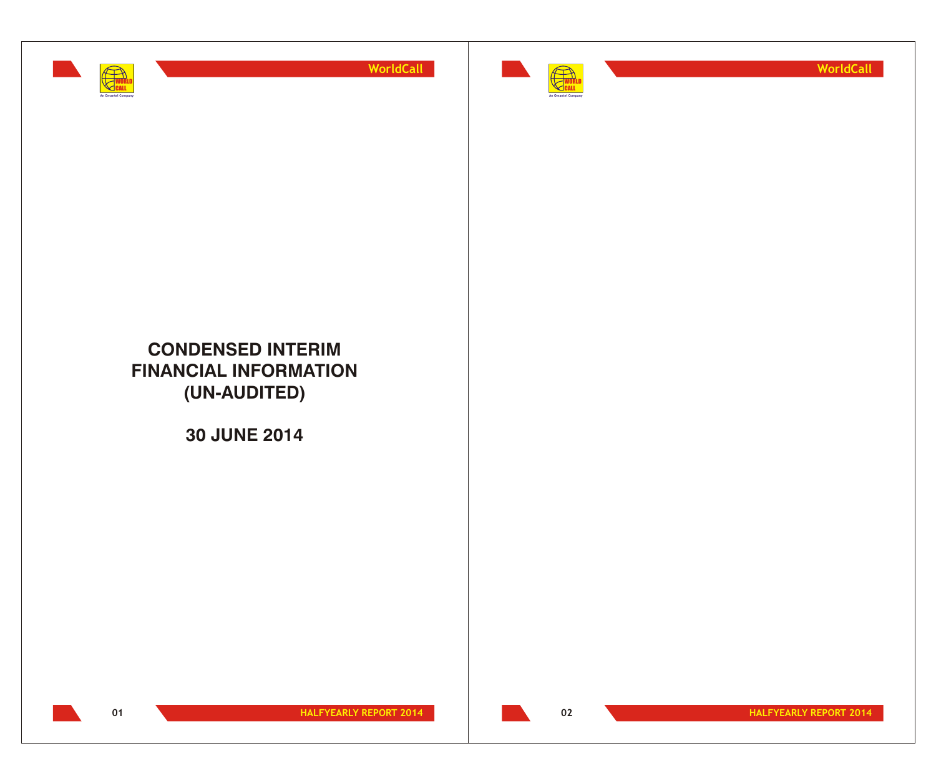



**WorldCall**

# **CONDENSED INTERIM FINANCIAL INFORMATION (UN-AUDITED)**

**30 JUNE 2014**

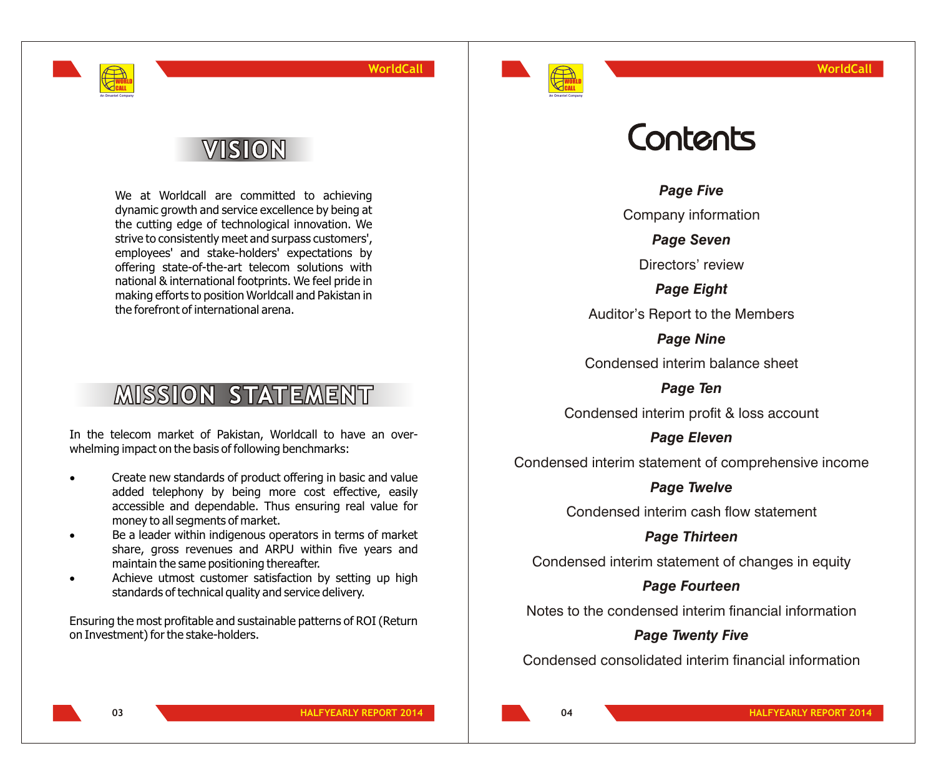

# VISION

WORLD CALL **An Omantel Company**

> We at Worldcall are committed to achieving dynamic growth and service excellence by being at the cutting edge of technological innovation. We strive to consistently meet and surpass customers', employees' and stake-holders' expectations by offering state-of-the-art telecom solutions with national & international footprints. We feel pride in making efforts to position Worldcall and Pakistan in the forefront of international arena.

# **MISSION STATEMENT**

In the telecom market of Pakistan, Worldcall to have an overwhelming impact on the basis of following benchmarks:

> Create new standards of product offering in basic and value added telephony by being more cost effective, easily accessible and dependable. Thus ensuring real value for money to all segments of market.

> Be a leader within indigenous operators in terms of market share, gross revenues and ARPU within five years and maintain the same positioning thereafter.

> Achieve utmost customer satisfaction by setting up high standards of technical quality and service delivery.

Ensuring the most profitable and sustainable patterns of ROI (Return on Investment) for the stake-holders.

# Contents

*Page Five*

Company information

*Page Seven*

Directors' review

*Page Eight* Auditor's Report to the Members

*Page Nine*

Condensed interim balance sheet

*Page Ten* Condensed interim profit & loss account

*Page Eleven*

Condensed interim statement of comprehensive income

*Page Twelve*

Condensed interim cash flow statement

*Page Thirteen*

Condensed interim statement of changes in equity

# *Page Fourteen*

Notes to the condensed interim financial information

# *Page Twenty Five*

Condensed consolidated interim financial information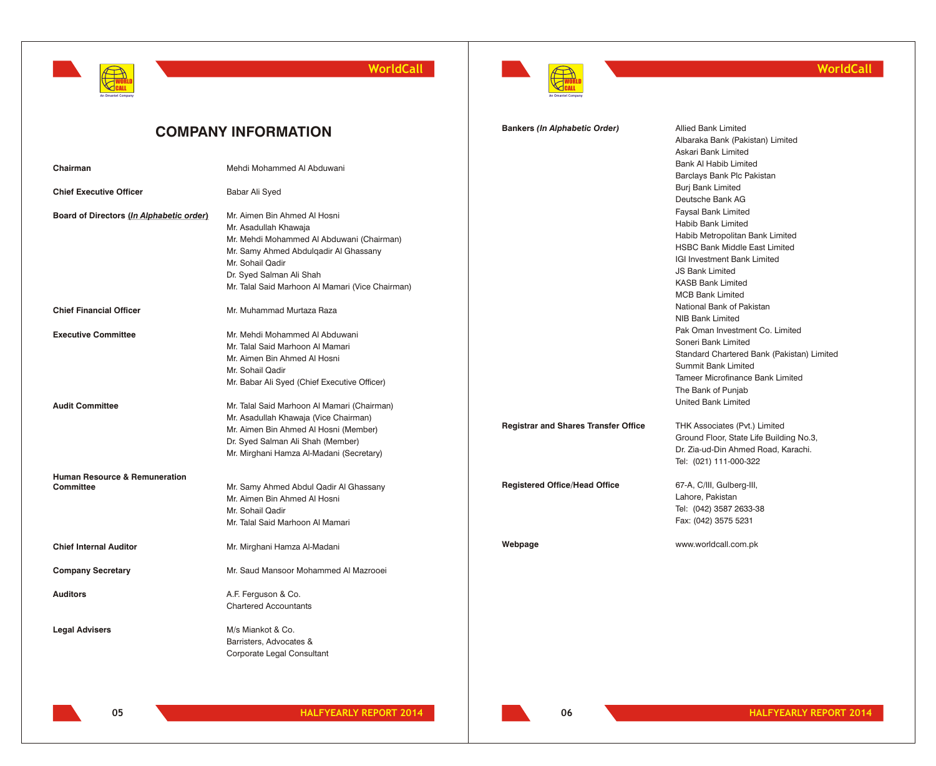

**WorldCall**



# **WorldCall**

|                                                              | <b>COMPANY INFORMATION</b>                                                                                                                                                                                     | <b>Bankers (In Alphabetic Order)</b>        | <b>Allied Bank Limited</b><br>Albaraka Bank (Pakistan) Limited<br>Askari Bank Limited                                                                                                                            |
|--------------------------------------------------------------|----------------------------------------------------------------------------------------------------------------------------------------------------------------------------------------------------------------|---------------------------------------------|------------------------------------------------------------------------------------------------------------------------------------------------------------------------------------------------------------------|
| Chairman                                                     | Mehdi Mohammed Al Abduwani                                                                                                                                                                                     |                                             | Bank Al Habib Limited<br>Barclays Bank Plc Pakistan                                                                                                                                                              |
| <b>Chief Executive Officer</b>                               | Babar Ali Syed                                                                                                                                                                                                 |                                             | <b>Burj Bank Limited</b><br>Deutsche Bank AG                                                                                                                                                                     |
| Board of Directors (In Alphabetic order)                     | Mr. Aimen Bin Ahmed Al Hosni<br>Mr. Asadullah Khawaja<br>Mr. Mehdi Mohammed Al Abduwani (Chairman)<br>Mr. Samy Ahmed Abdulqadir Al Ghassany<br>Mr. Sohail Qadir<br>Dr. Syed Salman Ali Shah                    |                                             | <b>Faysal Bank Limited</b><br>Habib Bank Limited<br>Habib Metropolitan Bank Limited<br><b>HSBC Bank Middle East Limited</b><br>IGI Investment Bank Limited<br><b>JS Bank Limited</b><br><b>KASB Bank Limited</b> |
| <b>Chief Financial Officer</b>                               | Mr. Talal Said Marhoon Al Mamari (Vice Chairman)<br>Mr. Muhammad Murtaza Raza                                                                                                                                  |                                             | <b>MCB Bank Limited</b><br>National Bank of Pakistan<br>NIB Bank Limited                                                                                                                                         |
| <b>Executive Committee</b>                                   | Mr. Mehdi Mohammed Al Abduwani<br>Mr. Talal Said Marhoon Al Mamari<br>Mr. Aimen Bin Ahmed Al Hosni<br>Mr. Sohail Qadir<br>Mr. Babar Ali Syed (Chief Executive Officer)                                         |                                             | Pak Oman Investment Co. Limited<br>Soneri Bank Limited<br>Standard Chartered Bank (Pakistan) Limited<br><b>Summit Bank Limited</b><br>Tameer Microfinance Bank Limited<br>The Bank of Punjab                     |
| <b>Audit Committee</b>                                       | Mr. Talal Said Marhoon Al Mamari (Chairman)<br>Mr. Asadullah Khawaja (Vice Chairman)<br>Mr. Aimen Bin Ahmed Al Hosni (Member)<br>Dr. Syed Salman Ali Shah (Member)<br>Mr. Mirghani Hamza Al-Madani (Secretary) | <b>Registrar and Shares Transfer Office</b> | <b>United Bank Limited</b><br>THK Associates (Pvt.) Limited<br>Ground Floor, State Life Building No.3,<br>Dr. Zia-ud-Din Ahmed Road, Karachi.<br>Tel: (021) 111-000-322                                          |
| <b>Human Resource &amp; Remuneration</b><br><b>Committee</b> | Mr. Samy Ahmed Abdul Qadir Al Ghassany<br>Mr. Aimen Bin Ahmed Al Hosni<br>Mr. Sohail Qadir<br>Mr. Talal Said Marhoon Al Mamari                                                                                 | <b>Registered Office/Head Office</b>        | 67-A, C/III, Gulberg-III,<br>Lahore, Pakistan<br>Tel: (042) 3587 2633-38<br>Fax: (042) 3575 5231                                                                                                                 |
| <b>Chief Internal Auditor</b>                                | Mr. Mirghani Hamza Al-Madani                                                                                                                                                                                   | Webpage                                     | www.worldcall.com.pk                                                                                                                                                                                             |
| <b>Company Secretary</b>                                     | Mr. Saud Mansoor Mohammed Al Mazrooei                                                                                                                                                                          |                                             |                                                                                                                                                                                                                  |
| <b>Auditors</b>                                              | A.F. Ferguson & Co.<br><b>Chartered Accountants</b>                                                                                                                                                            |                                             |                                                                                                                                                                                                                  |
| <b>Legal Advisers</b>                                        | M/s Miankot & Co.<br>Barristers, Advocates &<br>Corporate Legal Consultant                                                                                                                                     |                                             |                                                                                                                                                                                                                  |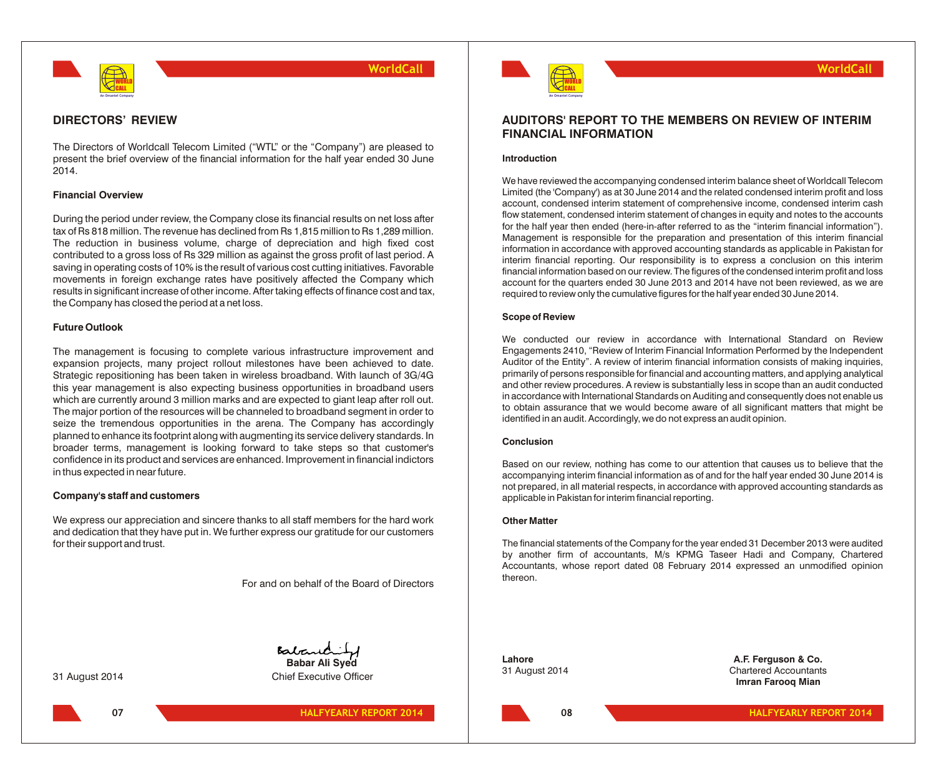

### **DIRECTORS' REVIEW**

The Directors of Worldcall Telecom Limited ("WTL" or the "Company") are pleased to present the brief overview of the financial information for the half year ended 30 June 2014.

### **Financial Overview**

During the period under review, the Company close its financial results on net loss after tax of Rs 818 million. The revenue has declined from Rs 1,815 million to Rs 1,289 million. The reduction in business volume, charge of depreciation and high fixed cost contributed to a gross loss of Rs 329 million as against the gross profit of last period. A saving in operating costs of 10% is the result of various cost cutting initiatives. Favorable movements in foreign exchange rates have positively affected the Company which results in significant increase of other income. After taking effects of finance cost and tax, the Company has closed the period at a net loss.

### **Future Outlook**

The management is focusing to complete various infrastructure improvement and expansion projects, many project rollout milestones have been achieved to date. Strategic repositioning has been taken in wireless broadband. With launch of 3G/4G this year management is also expecting business opportunities in broadband users which are currently around 3 million marks and are expected to giant leap after roll out. The major portion of the resources will be channeled to broadband segment in order to seize the tremendous opportunities in the arena. The Company has accordingly planned to enhance its footprint along with augmenting its service delivery standards. In broader terms, management is looking forward to take steps so that customer's confidence in its product and services are enhanced. Improvement in financial indictors in thus expected in near future.

### **Company's staff and customers**

We express our appreciation and sincere thanks to all staff members for the hard work and dedication that they have put in. We further express our gratitude for our customers for their support and trust.

For and on behalf of the Board of Directors

31 August 2014 Chief Executive Officer





# **AUDITORS' REPORT TO THE MEMBERS ON REVIEW OF INTERIM FINANCIAL INFORMATION**

**WorldCall**

### **Introduction**

We have reviewed the accompanying condensed interim balance sheet of Worldcall Telecom Limited (the 'Company') as at 30 June 2014 and the related condensed interim profit and loss account, condensed interim statement of comprehensive income, condensed interim cash flow statement, condensed interim statement of changes in equity and notes to the accounts for the half year then ended (here-in-after referred to as the "interim financial information"). Management is responsible for the preparation and presentation of this interim financial information in accordance with approved accounting standards as applicable in Pakistan for interim financial reporting. Our responsibility is to express a conclusion on this interim financial information based on our review. The figures of the condensed interim profit and loss account for the quarters ended 30 June 2013 and 2014 have not been reviewed, as we are required to review only the cumulative figures for the half year ended 30 June 2014.

### **Scope of Review**

We conducted our review in accordance with International Standard on Review Engagements 2410, "Review of Interim Financial Information Performed by the Independent Auditor of the Entity". A review of interim financial information consists of making inquiries, primarily of persons responsible for financial and accounting matters, and applying analytical and other review procedures. A review is substantially less in scope than an audit conducted in accordance with International Standards on Auditing and consequently does not enable us to obtain assurance that we would become aware of all significant matters that might be identified in an audit. Accordingly, we do not express an audit opinion.

### **Conclusion**

Based on our review, nothing has come to our attention that causes us to believe that the accompanying interim financial information as of and for the half year ended 30 June 2014 is not prepared, in all material respects, in accordance with approved accounting standards as applicable in Pakistan for interim financial reporting.

### **Other Matter**

The financial statements of the Company for the year ended 31 December 2013 were audited by another firm of accountants, M/s KPMG Taseer Hadi and Company, Chartered Accountants, whose report dated 08 February 2014 expressed an unmodified opinion thereon.

**Lahore A.F. Ferguson & Co.** 31 August 2014 Chartered Accountants **Imran Farooq Mian**

**08**

**HALFYEARLY REPORT 2014 HALFYEARLY REPORT 2014**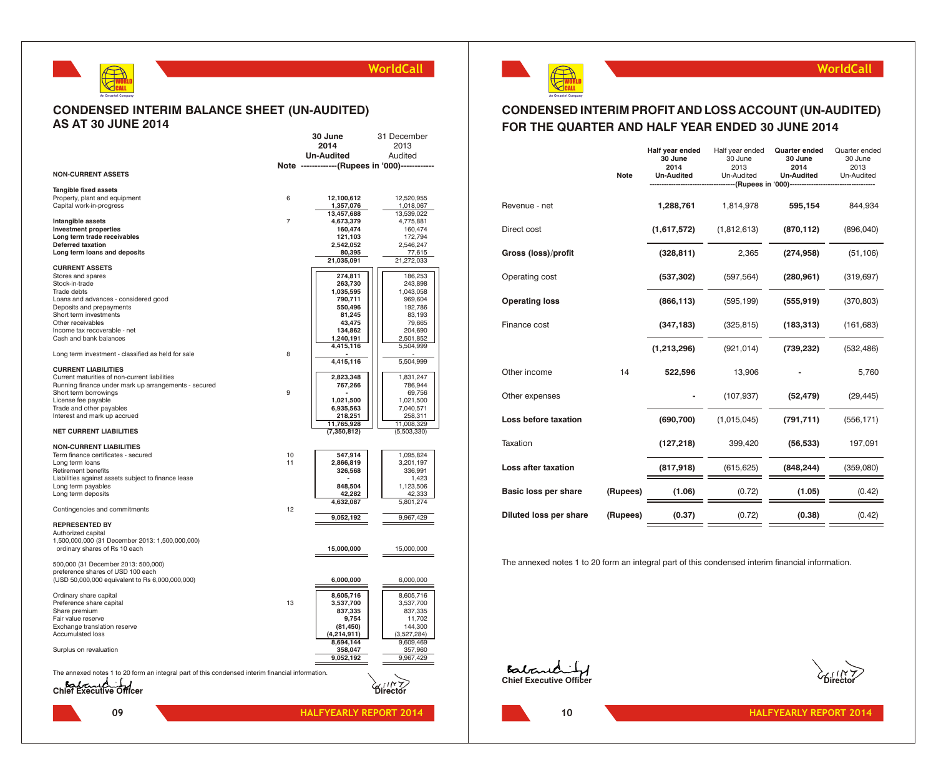# **CONDENSED INTERIM BALANCE SHEET (UN-AUDITED) AS AT 30 JUNE 2014**

WORLD CALL **An Omantel Company**

|                                                                                                  |                | 30 June                                        | 31 December               |
|--------------------------------------------------------------------------------------------------|----------------|------------------------------------------------|---------------------------|
|                                                                                                  |                | 2014                                           | 2013                      |
|                                                                                                  |                | <b>Un-Audited</b>                              | Audited                   |
|                                                                                                  |                | Note -------------(Rupees in '000)------------ |                           |
| <b>NON-CURRENT ASSETS</b>                                                                        |                |                                                |                           |
| Tangible fixed assets                                                                            |                |                                                |                           |
| Property, plant and equipment                                                                    | 6              | 12,100,612                                     | 12,520,955                |
| Capital work-in-progress                                                                         |                | 1,357,076                                      | 1,018,067                 |
|                                                                                                  |                | 13,457,688                                     | 13,539,022                |
| Intangible assets                                                                                | $\overline{7}$ | 4,673,379                                      | 4,775,881                 |
| <b>Investment properties</b><br>Long term trade receivables                                      |                | 160,474<br>121,103                             | 160,474<br>172,794        |
| <b>Deferred taxation</b>                                                                         |                | 2,542,052                                      | 2,546,247                 |
| Long term loans and deposits                                                                     |                | 80,395                                         | 77,615                    |
|                                                                                                  |                | 21,035,091                                     | 21,272,033                |
| <b>CURRENT ASSETS</b>                                                                            |                |                                                |                           |
| Stores and spares<br>Stock-in-trade                                                              |                | 274,811<br>263,730                             | 186,253<br>243,898        |
| Trade debts                                                                                      |                | 1,035,595                                      | 1,043,058                 |
| Loans and advances - considered good                                                             |                | 790,711                                        | 969,604                   |
| Deposits and prepayments                                                                         |                | 550,496                                        | 192,786                   |
| Short term investments                                                                           |                | 81,245                                         | 83,193                    |
| Other receivables                                                                                |                | 43,475                                         | 79,665                    |
| Income tax recoverable - net<br>Cash and bank balances                                           |                | 134,862                                        | 204,690<br>2,501,852      |
|                                                                                                  |                | 1,240,191<br>4,415,116                         | 5,504,999                 |
| Long term investment - classified as held for sale                                               | 8              |                                                |                           |
| <b>CURRENT LIABILITIES</b>                                                                       |                | 4,415,116                                      | 5,504,999                 |
| Current maturities of non-current liabilities                                                    |                | 2,823,348                                      | 1,831,247                 |
| Running finance under mark up arrangements - secured                                             |                | 767,266                                        | 786,944                   |
| Short term borrowings                                                                            | 9              |                                                | 69,756                    |
| License fee payable                                                                              |                | 1,021,500                                      | 1,021,500                 |
| Trade and other payables                                                                         |                | 6,935,563                                      | 7,040,571                 |
| Interest and mark up accrued                                                                     |                | 218,251                                        | 258,311                   |
| <b>NET CURRENT LIABILITIES</b>                                                                   |                | 11,765,928<br>(7,350,812)                      | 11,008,329<br>(5,503,330) |
| <b>NON-CURRENT LIABILITIES</b>                                                                   |                |                                                |                           |
| Term finance certificates - secured                                                              | 10             | 547,914                                        | 1,095,824                 |
| Long term loans                                                                                  | 11             | 2,866,819                                      | 3,201,197                 |
| Retirement benefits                                                                              |                | 326,568                                        | 336,991                   |
| Liabilities against assets subject to finance lease                                              |                | ٠                                              | 1,423                     |
| Long term payables                                                                               |                | 848,504                                        | 1,123,506                 |
| Long term deposits                                                                               |                | 42,282                                         | 42,333                    |
| Contingencies and commitments                                                                    | 12             | 4,632,087                                      | 5,801,274                 |
|                                                                                                  |                | 9,052,192                                      | 9,967,429                 |
| <b>REPRESENTED BY</b>                                                                            |                |                                                |                           |
| Authorized capital                                                                               |                |                                                |                           |
| 1,500,000,000 (31 December 2013: 1,500,000,000)                                                  |                |                                                |                           |
| ordinary shares of Rs 10 each                                                                    |                | 15,000,000                                     | 15,000,000                |
| 500,000 (31 December 2013: 500,000)                                                              |                |                                                |                           |
| preference shares of USD 100 each                                                                |                |                                                |                           |
| (USD 50,000,000 equivalent to Rs 6,000,000,000)                                                  |                | 6,000,000                                      | 6,000,000                 |
|                                                                                                  |                |                                                |                           |
| Ordinary share capital                                                                           |                | 8,605,716                                      | 8,605,716                 |
| Preference share capital                                                                         | 13             | 3,537,700                                      | 3,537,700                 |
| Share premium<br>Fair value reserve                                                              |                | 837,335<br>9,754                               | 837,335<br>11,702         |
| Exchange translation reserve                                                                     |                | (81, 450)                                      | 144,300                   |
| Accumulated loss                                                                                 |                | (4,214,911)                                    | (3,527,284)               |
|                                                                                                  |                | 8,694,144                                      | 9,609,469                 |
| Surplus on revaluation                                                                           |                | 358,047                                        | 357,960                   |
|                                                                                                  |                | 9,052,192                                      | 9,967,429                 |
| The annexed notes 1 to 20 form an integral part of this condensed interim financial information. |                |                                                |                           |
|                                                                                                  |                |                                                |                           |
| Balcund J                                                                                        |                |                                                | IIN Z<br>Director         |
|                                                                                                  |                |                                                |                           |
| റാ                                                                                               |                | <b>UAI EVEADI V DEDODT</b>                     |                           |



# **CONDENSED INTERIM PROFIT AND LOSS ACCOUNT (UN-AUDITED) FOR THE QUARTER AND HALF YEAR ENDED 30 JUNE 2014**

|                        |             | Half year ended<br>30 June | Half year ended<br>30 June                       | Quarter ended<br>30 June | Quarter ended<br>30 June |
|------------------------|-------------|----------------------------|--------------------------------------------------|--------------------------|--------------------------|
|                        |             | 2014                       | 2013                                             | 2014                     | 2013                     |
|                        | <b>Note</b> | <b>Un-Audited</b>          | Un-Audited<br>------(Rupees in '000)------------ | <b>Un-Audited</b>        | Un-Audited               |
|                        |             |                            |                                                  |                          |                          |
| Revenue - net          |             | 1,288,761                  | 1,814,978                                        | 595,154                  | 844,934                  |
| Direct cost            |             | (1,617,572)                | (1,812,613)                                      | (870, 112)               | (896, 040)               |
| Gross (loss)/profit    |             | (328, 811)                 | 2,365                                            | (274, 958)               | (51, 106)                |
| Operating cost         |             | (537, 302)                 | (597, 564)                                       | (280, 961)               | (319, 697)               |
| <b>Operating loss</b>  |             | (866, 113)                 | (595, 199)                                       | (555, 919)               | (370, 803)               |
| Finance cost           |             | (347, 183)                 | (325, 815)                                       | (183, 313)               | (161, 683)               |
|                        |             | (1,213,296)                | (921, 014)                                       | (739, 232)               | (532, 486)               |
| Other income           | 14          | 522,596                    | 13,906                                           |                          | 5,760                    |
| Other expenses         |             |                            | (107, 937)                                       | (52, 479)                | (29, 445)                |
| Loss before taxation   |             | (690, 700)                 | (1,015,045)                                      | (791, 711)               | (556, 171)               |
| Taxation               |             | (127, 218)                 | 399,420                                          | (56, 533)                | 197,091                  |
| Loss after taxation    |             | (817, 918)                 | (615, 625)                                       | (848, 244)               | (359,080)                |
| Basic loss per share   | (Rupees)    | (1.06)                     | (0.72)                                           | (1.05)                   | (0.42)                   |
| Diluted loss per share | (Rupees)    | (0.37)                     | (0.72)                                           | (0.38)                   | (0.42)                   |

The annexed notes 1 to 20 form an integral part of this condensed interim financial information.

**Eabourding** 

**10**

**WorldCall**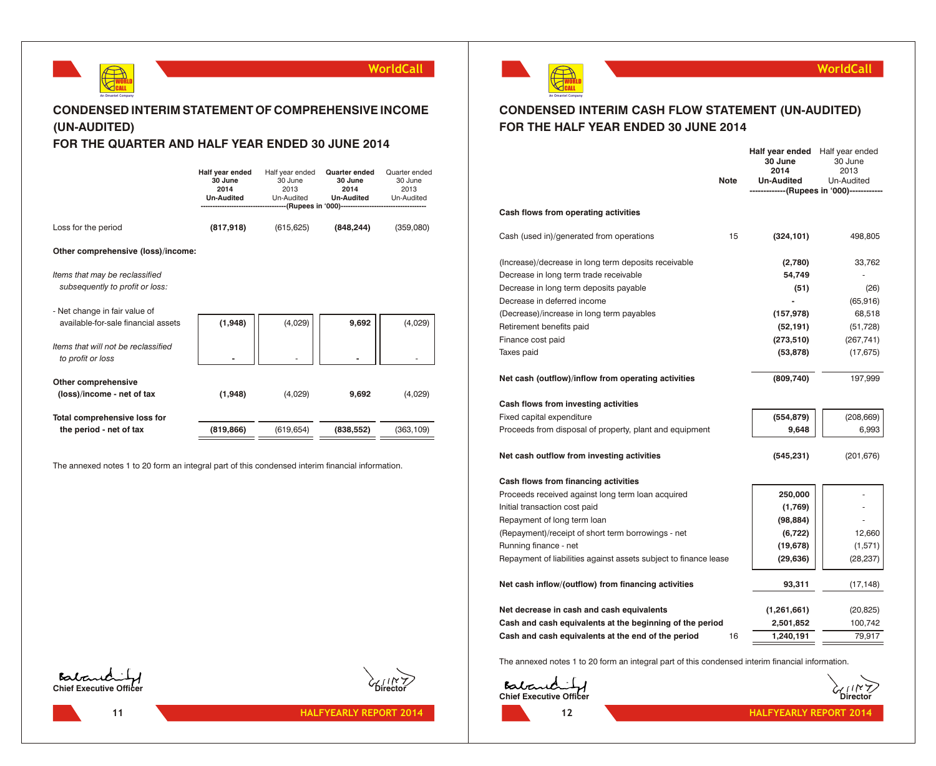

# **CONDENSED INTERIM STATEMENT OF COMPREHENSIVE INCOME (UN-AUDITED)**

# **FOR THE QUARTER AND HALF YEAR ENDED 30 JUNE 2014**

|                                                                      | Half year ended<br>30 June<br>2014<br><b>Un-Audited</b> | Half year ended<br>30 June<br>2013<br>Un-Audited | Quarter ended<br>30 June<br>2014<br><b>Un-Audited</b><br>------(Rupees in '000)----------------------------- | Quarter ended<br>30 June<br>2013<br>Un-Audited |
|----------------------------------------------------------------------|---------------------------------------------------------|--------------------------------------------------|--------------------------------------------------------------------------------------------------------------|------------------------------------------------|
| Loss for the period                                                  | (817, 918)                                              | (615, 625)                                       | (848, 244)                                                                                                   | (359,080)                                      |
| Other comprehensive (loss)/income:                                   |                                                         |                                                  |                                                                                                              |                                                |
| Items that may be reclassified<br>subsequently to profit or loss:    |                                                         |                                                  |                                                                                                              |                                                |
| - Net change in fair value of<br>available-for-sale financial assets | (1,948)                                                 | (4,029)                                          | 9,692                                                                                                        | (4,029)                                        |
| Items that will not be reclassified<br>to profit or loss             |                                                         |                                                  |                                                                                                              |                                                |
| Other comprehensive<br>(loss)/income - net of tax                    | (1,948)                                                 | (4,029)                                          | 9,692                                                                                                        | (4,029)                                        |
| Total comprehensive loss for<br>the period - net of tax              | (819, 866)                                              | (619, 654)                                       | (838, 552)                                                                                                   | (363, 109)                                     |

The annexed notes 1 to 20 form an integral part of this condensed interim financial information.



**11**





# **CONDENSED INTERIM CASH FLOW STATEMENT (UN-AUDITED) FOR THE HALF YEAR ENDED 30 JUNE 2014**

|                                                                  | <b>Note</b> | Half year ended<br>30 June<br>2014<br>Un-Audited | Half year ended<br>30 June<br>2013<br>Un-Audited<br>-----------(Rupees in '000)------------ |
|------------------------------------------------------------------|-------------|--------------------------------------------------|---------------------------------------------------------------------------------------------|
| Cash flows from operating activities                             |             |                                                  |                                                                                             |
| Cash (used in)/generated from operations                         | 15          | (324, 101)                                       | 498,805                                                                                     |
| (Increase)/decrease in long term deposits receivable             |             | (2,780)                                          | 33,762                                                                                      |
| Decrease in long term trade receivable                           |             | 54,749                                           |                                                                                             |
| Decrease in long term deposits payable                           |             | (51)                                             | (26)                                                                                        |
| Decrease in deferred income                                      |             |                                                  | (65, 916)                                                                                   |
| (Decrease)/increase in long term payables                        |             | (157, 978)                                       | 68,518                                                                                      |
| Retirement benefits paid                                         |             | (52, 191)                                        | (51, 728)                                                                                   |
| Finance cost paid                                                |             | (273, 510)                                       | (267, 741)                                                                                  |
| Taxes paid                                                       |             | (53, 878)                                        | (17, 675)                                                                                   |
| Net cash (outflow)/inflow from operating activities              |             | (809, 740)                                       | 197,999                                                                                     |
| Cash flows from investing activities                             |             |                                                  |                                                                                             |
| Fixed capital expenditure                                        |             | (554, 879)                                       | (208, 669)                                                                                  |
| Proceeds from disposal of property, plant and equipment          |             | 9,648                                            | 6,993                                                                                       |
| Net cash outflow from investing activities                       |             | (545, 231)                                       | (201, 676)                                                                                  |
| Cash flows from financing activities                             |             |                                                  |                                                                                             |
| Proceeds received against long term loan acquired                |             | 250,000                                          |                                                                                             |
| Initial transaction cost paid                                    |             | (1,769)                                          |                                                                                             |
| Repayment of long term loan                                      |             | (98, 884)                                        |                                                                                             |
| (Repayment)/receipt of short term borrowings - net               |             | (6, 722)                                         | 12,660                                                                                      |
| Running finance - net                                            |             | (19, 678)                                        | (1,571)                                                                                     |
| Repayment of liabilities against assets subject to finance lease |             | (29, 636)                                        | (28, 237)                                                                                   |
| Net cash inflow/(outflow) from financing activities              |             | 93,311                                           | (17, 148)                                                                                   |
| Net decrease in cash and cash equivalents                        |             | (1,261,661)                                      | (20, 825)                                                                                   |
| Cash and cash equivalents at the beginning of the period         |             | 2,501,852                                        | 100,742                                                                                     |
| Cash and cash equivalents at the end of the period               | 16          | 1,240,191                                        | 79,917                                                                                      |

The annexed notes 1 to 20 form an integral part of this condensed interim financial information.

**Contact Contact Contact Contact Contact Contact Contact Contact Contact Contact Contact Contact Contact Contact Contact Contact Contact Contact Contact Contact Contact Contact Contact Contact Contact Contact Contact Conta** 



**WorldCall**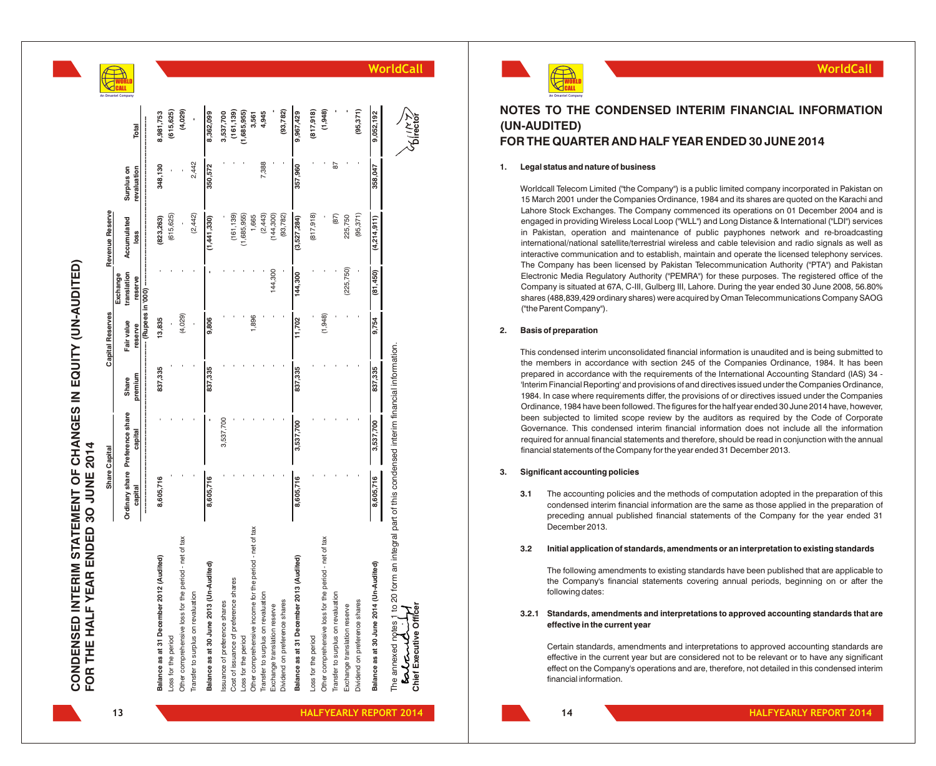



# **NOTES TO THE CONDENSED INTERIM FINANCIAL INFORMATION (UN-AUDITED) FOR THE QUARTER AND HALF YEAR ENDED 30 JUNE 2014**

### **1. Legal status and nature of business**

Worldcall Telecom Limited ("the Company") is a public limited company incorporated in Pakistan on 15 March 2001 under the Companies Ordinance, 1984 and its shares are quoted on the Karachi and Lahore Stock Exchanges. The Company commenced its operations on 01 December 2004 and is engaged in providing Wireless Local Loop ("WLL") and Long Distance & International ("LDI") services in Pakistan, operation and maintenance of public payphones network and re-broadcasting international/national satellite/terrestrial wireless and cable television and radio signals as well as interactive communication and to establish, maintain and operate the licensed telephony services. The Company has been licensed by Pakistan Telecommunication Authority ("PTA") and Pakistan Electronic Media Regulatory Authority ("PEMRA") for these purposes. The registered office of the Company is situated at 67A, C-III, Gulberg III, Lahore. During the year ended 30 June 2008, 56.80% shares (488,839,429 ordinary shares) were acquired by Oman Telecommunications Company SAOG ("the Parent Company").

### **2. Basis of preparation**

This condensed interim unconsolidated financial information is unaudited and is being submitted to the members in accordance with section 245 of the Companies Ordinance, 1984. It has been prepared in accordance with the requirements of the International Accounting Standard (IAS) 34 - 'Interim Financial Reporting' and provisions of and directives issued under the Companies Ordinance, 1984. In case where requirements differ, the provisions of or directives issued under the Companies Ordinance, 1984 have been followed. The figures for the half year ended 30 June 2014 have, however, been subjected to limited scope review by the auditors as required by the Code of Corporate Governance. This condensed interim financial information does not include all the information required for annual financial statements and therefore, should be read in conjunction with the annual financial statements of the Company for the year ended 31 December 2013.

### **3. Significant accounting policies**

**3.1** The accounting policies and the methods of computation adopted in the preparation of this condensed interim financial information are the same as those applied in the preparation of preceding annual published financial statements of the Company for the year ended 31 December 2013.

### **3.2 Initial application of standards, amendments or an interpretation to existing standards**

The following amendments to existing standards have been published that are applicable to the Company's financial statements covering annual periods, beginning on or after the following dates:

### **3.2.1 Standards, amendments and interpretations to approved accounting standards that are effective in the current year**

Certain standards, amendments and interpretations to approved accounting standards are effective in the current year but are considered not to be relevant or to have any significant effect on the Company's operations and are, therefore, not detailed in this condensed interim financial information.

**13**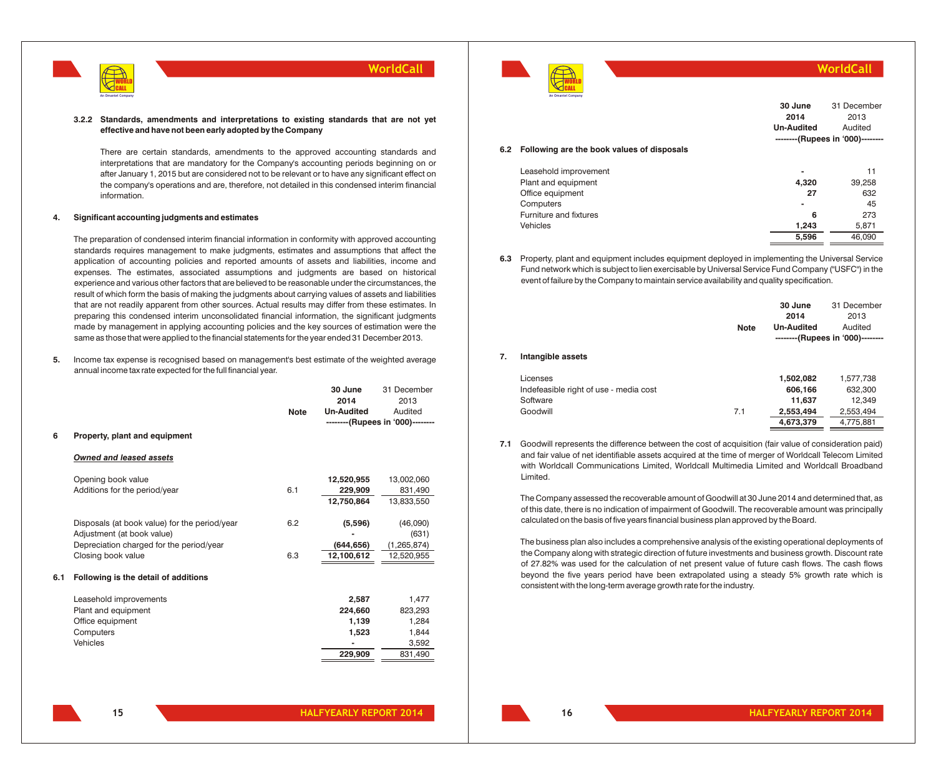

### **3.2.2 Standards, amendments and interpretations to existing standards that are not yet effective and have not been early adopted by the Company**

There are certain standards, amendments to the approved accounting standards and interpretations that are mandatory for the Company's accounting periods beginning on or after January 1, 2015 but are considered not to be relevant or to have any significant effect on the company's operations and are, therefore, not detailed in this condensed interim financial information.

### **4. Significant accounting judgments and estimates**

The preparation of condensed interim financial information in conformity with approved accounting standards requires management to make judgments, estimates and assumptions that affect the application of accounting policies and reported amounts of assets and liabilities, income and expenses. The estimates, associated assumptions and judgments are based on historical experience and various other factors that are believed to be reasonable under the circumstances, the result of which form the basis of making the judgments about carrying values of assets and liabilities that are not readily apparent from other sources. Actual results may differ from these estimates. In preparing this condensed interim unconsolidated financial information, the significant judgments made by management in applying accounting policies and the key sources of estimation were the same as those that were applied to the financial statements for the year ended 31 December 2013.

**5.** Income tax expense is recognised based on management's best estimate of the weighted average annual income tax rate expected for the full financial year.

| 6   | Property, plant and equipment                                                                                                                 | <b>Note</b> | 30 June<br>2014<br><b>Un-Audited</b>          | 31 December<br>2013<br>Audited<br>--------(Rupees in '000)-------- |
|-----|-----------------------------------------------------------------------------------------------------------------------------------------------|-------------|-----------------------------------------------|--------------------------------------------------------------------|
|     | <b>Owned and leased assets</b>                                                                                                                |             |                                               |                                                                    |
|     | Opening book value<br>Additions for the period/year                                                                                           | 6.1         | 12,520,955<br>229,909<br>12,750,864           | 13,002,060<br>831,490<br>13,833,550                                |
|     | Disposals (at book value) for the period/year<br>Adjustment (at book value)<br>Depreciation charged for the period/year<br>Closing book value | 6.2<br>6.3  | (5,596)<br>(644, 656)<br>12,100,612           | (46,090)<br>(631)<br>(1, 265, 874)<br>12,520,955                   |
| 6.1 | Following is the detail of additions                                                                                                          |             |                                               |                                                                    |
|     | Leasehold improvements<br>Plant and equipment<br>Office equipment<br>Computers<br>Vehicles                                                    |             | 2,587<br>224.660<br>1,139<br>1,523<br>229,909 | 1,477<br>823,293<br>1,284<br>1,844<br>3,592<br>831,490             |



**WorldCall**

**5,596** 46,090

|     |                                            | 30 June<br>2014<br><b>Un-Audited</b> | 31 December<br>2013<br>Audited<br>--------(Rupees in '000)-------- |
|-----|--------------------------------------------|--------------------------------------|--------------------------------------------------------------------|
| 6.2 | Following are the book values of disposals |                                      |                                                                    |
|     | Leasehold improvement                      | -                                    | 11                                                                 |
|     | Plant and equipment                        | 4.320                                | 39,258                                                             |
|     | Office equipment                           | 27                                   | 632                                                                |
|     | Computers                                  | $\blacksquare$                       | 45                                                                 |
|     | Furniture and fixtures                     | 6                                    | 273                                                                |

**6.3** Property, plant and equipment includes equipment deployed in implementing the Universal Service Fund network which is subject to lien exercisable by Universal Service Fund Company ("USFC") in the event of failure by the Company to maintain service availability and quality specification.

Vehicles **1,243** 5,871

|    |                                        | <b>Note</b> | 30 June<br>2014<br><b>Un-Audited</b> | 31 December<br>2013<br>Audited<br>--------(Rupees in '000)-------- |
|----|----------------------------------------|-------------|--------------------------------------|--------------------------------------------------------------------|
| 7. | Intangible assets                      |             |                                      |                                                                    |
|    | Licenses                               |             | 1,502,082                            | 1,577,738                                                          |
|    | Indefeasible right of use - media cost |             | 606,166                              | 632,300                                                            |
|    | Software                               |             | 11,637                               | 12,349                                                             |
|    | Goodwill                               | 7.1         | 2,553,494                            | 2,553,494                                                          |
|    |                                        |             | 4,673,379                            | 4,775,881                                                          |

**7.1** Goodwill represents the difference between the cost of acquisition (fair value of consideration paid) and fair value of net identifiable assets acquired at the time of merger of Worldcall Telecom Limited with Worldcall Communications Limited, Worldcall Multimedia Limited and Worldcall Broadband Limited.

The Company assessed the recoverable amount of Goodwill at 30 June 2014 and determined that, as of this date, there is no indication of impairment of Goodwill. The recoverable amount was principally calculated on the basis of five years financial business plan approved by the Board.

The business plan also includes a comprehensive analysis of the existing operational deployments of the Company along with strategic direction of future investments and business growth. Discount rate of 27.82% was used for the calculation of net present value of future cash flows. The cash flows beyond the five years period have been extrapolated using a steady 5% growth rate which is consistent with the long-term average growth rate for the industry.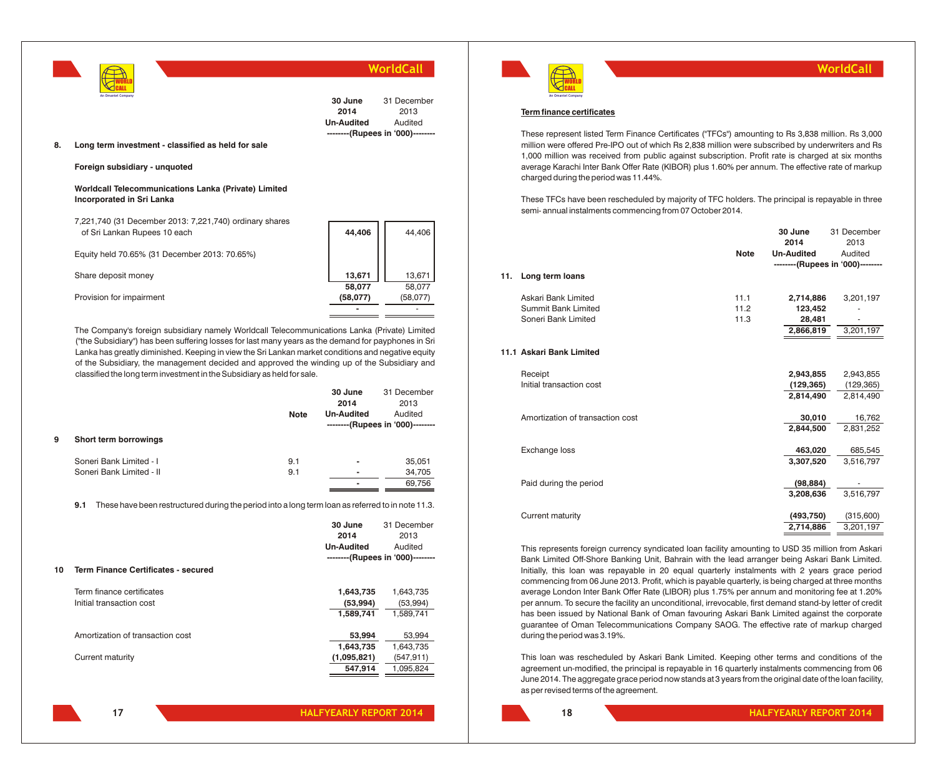|                                                                                          |                               | WorldCall                                                          |
|------------------------------------------------------------------------------------------|-------------------------------|--------------------------------------------------------------------|
| An Omantel Company<br>8.<br>Long term investment - classified as held for sale           | 30 June<br>2014<br>Un-Audited | 31 December<br>2013<br>Audited<br>--------(Rupees in '000)-------- |
| Foreign subsidiary - unquoted                                                            |                               |                                                                    |
| Worldcall Telecommunications Lanka (Private) Limited<br><b>Incorporated in Sri Lanka</b> |                               |                                                                    |
| 7,221,740 (31 December 2013: 7,221,740) ordinary shares<br>of Sri Lankan Rupees 10 each  | 44,406                        | 44,406                                                             |
| Equity held 70.65% (31 December 2013: 70.65%)                                            |                               |                                                                    |
| Share deposit money                                                                      | 13,671                        | 13,671                                                             |
| Provision for impairment                                                                 | 58,077<br>(58,077)            | 58,077<br>(58,077)                                                 |
|                                                                                          |                               |                                                                    |

The Company's foreign subsidiary namely Worldcall Telecommunications Lanka (Private) Limited ("the Subsidiary") has been suffering losses for last many years as the demand for payphones in Sri Lanka has greatly diminished. Keeping in view the Sri Lankan market conditions and negative equity of the Subsidiary, the management decided and approved the winding up of the Subsidiary and classified the long term investment in the Subsidiary as held for sale.

|    |                                                                                                          | <b>Note</b> | 30 June<br>2014<br><b>Un-Audited</b> | 31 December<br>2013<br>Audited<br>--------(Rupees in '000)-------- |
|----|----------------------------------------------------------------------------------------------------------|-------------|--------------------------------------|--------------------------------------------------------------------|
| 9  | Short term borrowings                                                                                    |             |                                      |                                                                    |
|    | Soneri Bank Limited - I<br>Soneri Bank Limited - II                                                      | 9.1<br>9.1  |                                      | 35,051<br>34,705                                                   |
|    |                                                                                                          |             |                                      | 69,756                                                             |
|    | 9.1<br>These have been restructured during the period into a long term loan as referred to in note 11.3. |             |                                      |                                                                    |
|    |                                                                                                          |             | 30 June                              | 31 December                                                        |
|    |                                                                                                          |             | 2014                                 | 2013                                                               |
|    |                                                                                                          |             | <b>Un-Audited</b>                    | Audited                                                            |
|    |                                                                                                          |             |                                      | --------(Rupees in '000)--------                                   |
| 10 | <b>Term Finance Certificates - secured</b>                                                               |             |                                      |                                                                    |
|    | Term finance certificates                                                                                |             | 1,643,735                            | 1,643,735                                                          |
|    | Initial transaction cost                                                                                 |             | (53,994)                             | (53,994)                                                           |
|    |                                                                                                          |             | 1.589.741                            | 1.589.741                                                          |
|    | Amortization of transaction cost                                                                         |             | 53,994                               | 53,994                                                             |
|    |                                                                                                          |             | 1,643,735                            | 1,643,735                                                          |
|    | Current maturity                                                                                         |             | (1,095,821)                          | (547, 911)                                                         |
|    |                                                                                                          |             | 547.914                              | 1.095.824                                                          |

WORLD CALL

### **WorldCall**

### **Term finance certificates An Omantel Company**

These represent listed Term Finance Certificates ("TFCs") amounting to Rs 3,838 million. Rs 3,000 million were offered Pre-IPO out of which Rs 2,838 million were subscribed by underwriters and Rs 1,000 million was received from public against subscription. Profit rate is charged at six months average Karachi Inter Bank Offer Rate (KIBOR) plus 1.60% per annum. The effective rate of markup charged during the period was 11.44%.

These TFCs have been rescheduled by majority of TFC holders. The principal is repayable in three semi- annual instalments commencing from 07 October 2014.

| 11. | Long term loans                  | <b>Note</b> | 30 June<br>2014<br><b>Un-Audited</b> | 31 December<br>2013<br>Audited<br>--------(Rupees in '000)-------- |
|-----|----------------------------------|-------------|--------------------------------------|--------------------------------------------------------------------|
|     | Askari Bank Limited              | 11.1        | 2,714,886                            | 3,201,197                                                          |
|     | Summit Bank Limited              | 11.2        | 123,452                              |                                                                    |
|     | Soneri Bank Limited              | 11.3        | 28,481                               |                                                                    |
|     |                                  |             | 2,866,819                            | 3,201,197                                                          |
|     |                                  |             |                                      |                                                                    |
|     | 11.1 Askari Bank Limited         |             |                                      |                                                                    |
|     | Receipt                          |             | 2,943,855                            | 2,943,855                                                          |
|     | Initial transaction cost         |             | (129, 365)                           | (129, 365)                                                         |
|     |                                  |             | 2,814,490                            | 2,814,490                                                          |
|     | Amortization of transaction cost |             | 30,010                               | 16,762                                                             |
|     |                                  |             | 2,844,500                            | 2,831,252                                                          |
|     | Exchange loss                    |             | 463,020                              | 685,545                                                            |
|     |                                  |             | 3,307,520                            | 3,516,797                                                          |
|     | Paid during the period           |             | (98, 884)                            |                                                                    |
|     |                                  |             | 3,208,636                            | 3,516,797                                                          |
|     | <b>Current maturity</b>          |             | (493, 750)                           | (315,600)                                                          |
|     |                                  |             | 2,714,886                            | 3,201,197                                                          |
|     |                                  |             |                                      |                                                                    |

This represents foreign currency syndicated loan facility amounting to USD 35 million from Askari Bank Limited Off-Shore Banking Unit, Bahrain with the lead arranger being Askari Bank Limited. Initially, this loan was repayable in 20 equal quarterly instalments with 2 years grace period commencing from 06 June 2013. Profit, which is payable quarterly, is being charged at three months average London Inter Bank Offer Rate (LIBOR) plus 1.75% per annum and monitoring fee at 1.20% per annum. To secure the facility an unconditional, irrevocable, first demand stand-by letter of credit has been issued by National Bank of Oman favouring Askari Bank Limited against the corporate guarantee of Oman Telecommunications Company SAOG. The effective rate of markup charged during the period was 3.19%.

This loan was rescheduled by Askari Bank Limited. Keeping other terms and conditions of the agreement un-modified, the principal is repayable in 16 quarterly instalments commencing from 06 June 2014. The aggregate grace period now stands at 3 years from the original date of the loan facility, as per revised terms of the agreement.

**17**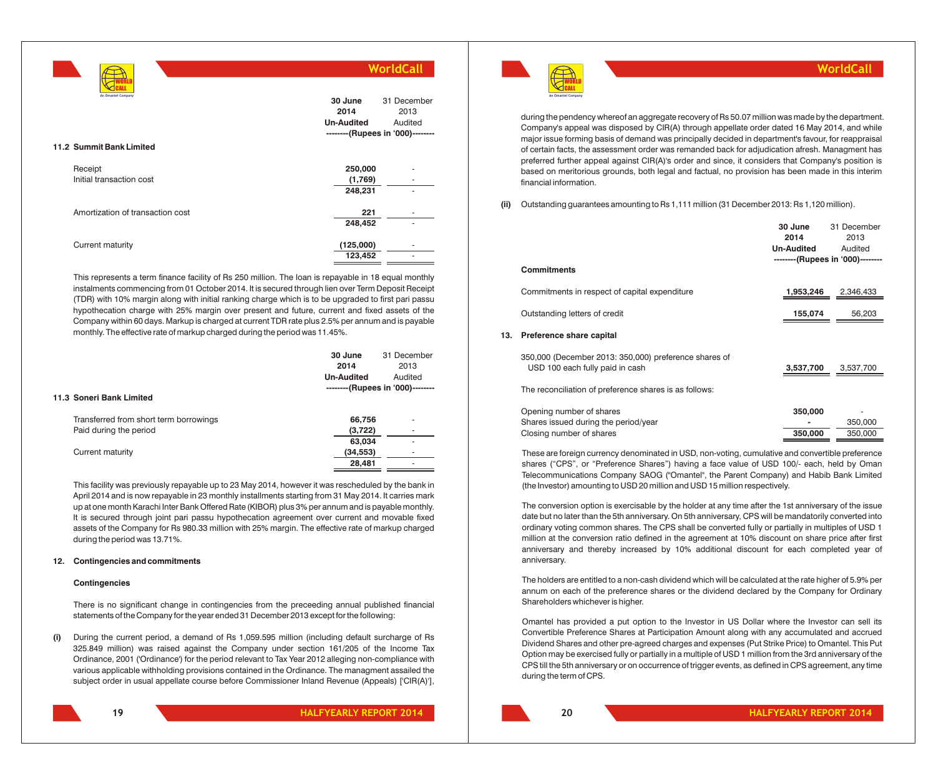|                                                |                                      | WorldCall                                                          |
|------------------------------------------------|--------------------------------------|--------------------------------------------------------------------|
| An Omantel Company<br>11.2 Summit Bank Limited | 30 June<br>2014<br><b>Un-Audited</b> | 31 December<br>2013<br>Audited<br>--------(Rupees in '000)-------- |
|                                                |                                      |                                                                    |
| Receipt                                        | 250,000                              |                                                                    |
| Initial transaction cost                       | (1,769)                              | ٠                                                                  |
|                                                | 248,231                              |                                                                    |
| Amortization of transaction cost               | 221                                  |                                                                    |
|                                                | 248,452                              |                                                                    |
| Current maturity                               | (125,000)<br>123,452                 |                                                                    |
|                                                |                                      |                                                                    |

This represents a term finance facility of Rs 250 million. The loan is repayable in 18 equal monthly instalments commencing from 01 October 2014. It is secured through lien over Term Deposit Receipt (TDR) with 10% margin along with initial ranking charge which is to be upgraded to first pari passu hypothecation charge with 25% margin over present and future, current and fixed assets of the Company within 60 days. Markup is charged at current TDR rate plus 2.5% per annum and is payable monthly. The effective rate of markup charged during the period was 11.45%.

|                                        | 30 June           | 31 December                      |
|----------------------------------------|-------------------|----------------------------------|
|                                        | 2014              | 2013                             |
|                                        | <b>Un-Audited</b> | Audited                          |
|                                        |                   | --------(Rupees in '000)-------- |
| 11.3 Soneri Bank Limited               |                   |                                  |
| Transferred from short term borrowings | 66,756            | ۰                                |
| Paid during the period                 | (3, 722)          | ۰                                |
|                                        | 63,034            |                                  |
| Current maturity                       | (34, 553)         |                                  |
|                                        | 28,481            | ۰                                |
|                                        |                   |                                  |

This facility was previously repayable up to 23 May 2014, however it was rescheduled by the bank in April 2014 and is now repayable in 23 monthly installments starting from 31 May 2014. It carries mark up at one month Karachi Inter Bank Offered Rate (KIBOR) plus 3% per annum and is payable monthly. It is secured through joint pari passu hypothecation agreement over current and movable fixed assets of the Company for Rs 980.33 million with 25% margin. The effective rate of markup charged during the period was 13.71%.

### **12. Contingencies and commitments**

### **Contingencies**

There is no significant change in contingencies from the preceeding annual published financial statements of the Company for the year ended 31 December 2013 except for the following:

**(i)** During the current period, a demand of Rs 1,059.595 million (including default surcharge of Rs 325.849 million) was raised against the Company under section 161/205 of the Income Tax Ordinance, 2001 ('Ordinance') for the period relevant to Tax Year 2012 alleging non-compliance with various applicable withholding provisions contained in the Ordinance. The managment assailed the subject order in usual appellate course before Commissioner Inland Revenue (Appeals) ['CIR(A)'],





**WorldCall**

during the pendency whereof an aggregate recovery of Rs 50.07 million was made by the department. Company's appeal was disposed by CIR(A) through appellate order dated 16 May 2014, and while major issue forming basis of demand was principally decided in department's favour, for reappraisal of certain facts, the assessment order was remanded back for adjudication afresh. Managment has preferred further appeal against CIR(A)'s order and since, it considers that Company's position is based on meritorious grounds, both legal and factual, no provision has been made in this interim financial information.

**(ii)** Outstanding guarantees amounting to Rs 1,111 million (31 December 2013: Rs 1,120 million).

|     |                                                                                          | 30 June<br>2014<br><b>Un-Audited</b> | 31 December<br>2013<br>Audited<br>--------(Rupees in '000)-------- |
|-----|------------------------------------------------------------------------------------------|--------------------------------------|--------------------------------------------------------------------|
|     | <b>Commitments</b>                                                                       |                                      |                                                                    |
|     | Commitments in respect of capital expenditure                                            | 1,953,246                            | 2,346,433                                                          |
|     | Outstanding letters of credit                                                            | 155,074                              | 56,203                                                             |
| 13. | Preference share capital                                                                 |                                      |                                                                    |
|     | 350,000 (December 2013: 350,000) preference shares of<br>USD 100 each fully paid in cash | 3,537,700                            | 3,537,700                                                          |
|     | The reconciliation of preference shares is as follows:                                   |                                      |                                                                    |
|     | Opening number of shares                                                                 | 350,000                              |                                                                    |
|     | Shares issued during the period/year                                                     |                                      | 350,000                                                            |
|     | Closing number of shares                                                                 | 350,000                              | 350.000                                                            |

These are foreign currency denominated in USD, non-voting, cumulative and convertible preference shares ("CPS", or "Preference Shares") having a face value of USD 100/- each, held by Oman Telecommunications Company SAOG ("Omantel", the Parent Company) and Habib Bank Limited (the Investor) amounting to USD 20 million and USD 15 million respectively.

The conversion option is exercisable by the holder at any time after the 1st anniversary of the issue date but no later than the 5th anniversary. On 5th anniversary, CPS will be mandatorily converted into ordinary voting common shares. The CPS shall be converted fully or partially in multiples of USD 1 million at the conversion ratio defined in the agreement at 10% discount on share price after first anniversary and thereby increased by 10% additional discount for each completed year of anniversary.

The holders are entitled to a non-cash dividend which will be calculated at the rate higher of 5.9% per annum on each of the preference shares or the dividend declared by the Company for Ordinary Shareholders whichever is higher.

Omantel has provided a put option to the Investor in US Dollar where the Investor can sell its Convertible Preference Shares at Participation Amount along with any accumulated and accrued Dividend Shares and other pre-agreed charges and expenses (Put Strike Price) to Omantel. This Put Option may be exercised fully or partially in a multiple of USD 1 million from the 3rd anniversary of the CPS till the 5th anniversary or on occurrence of trigger events, as defined in CPS agreement, any time during the term of CPS.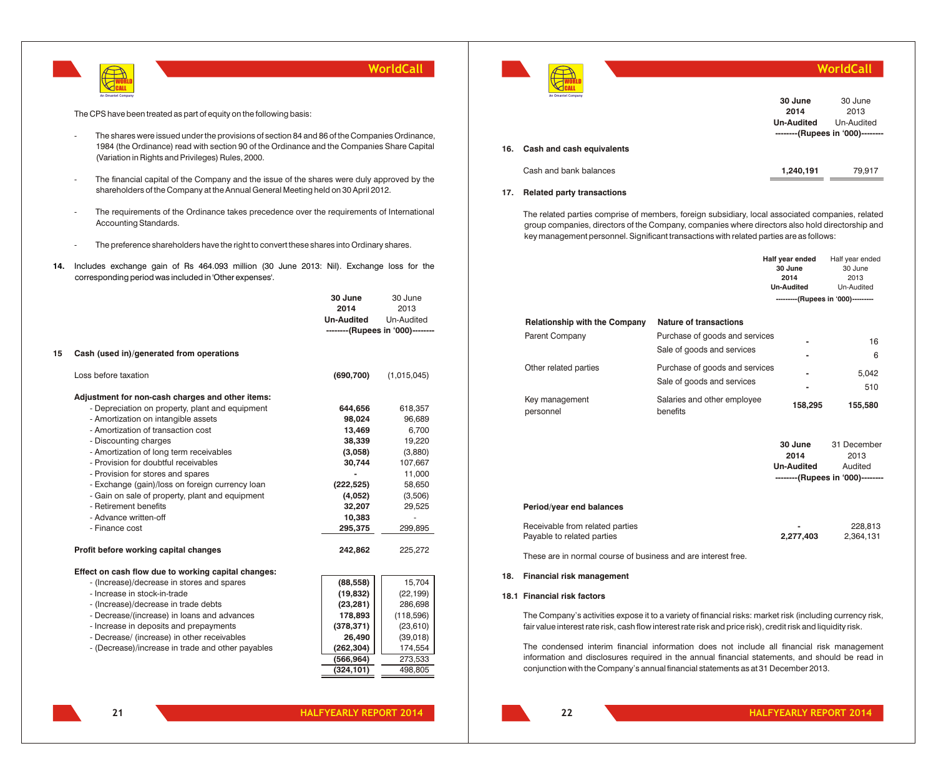

The CPS have been treated as part of equity on the following basis:

- The shares were issued under the provisions of section 84 and 86 of the Companies Ordinance, 1984 (the Ordinance) read with section 90 of the Ordinance and the Companies Share Capital (Variation in Rights and Privileges) Rules, 2000.
- The financial capital of the Company and the issue of the shares were duly approved by the shareholders of the Company at the Annual General Meeting held on 30 April 2012.
- The requirements of the Ordinance takes precedence over the requirements of International Accounting Standards.
- The preference shareholders have the right to convert these shares into Ordinary shares.
- **14.** Includes exchange gain of Rs 464.093 million (30 June 2013: Nil). Exchange loss for the corresponding period was included in 'Other expenses'.

|                                                     | 30 June           | 30 June                          |
|-----------------------------------------------------|-------------------|----------------------------------|
|                                                     | 2014              | 2013                             |
|                                                     | <b>Un-Audited</b> | Un-Audited                       |
|                                                     |                   | --------(Rupees in '000)-------- |
| Cash (used in)/generated from operations            |                   |                                  |
| Loss before taxation                                | (690, 700)        | (1,015,045)                      |
| Adjustment for non-cash charges and other items:    |                   |                                  |
| - Depreciation on property, plant and equipment     | 644,656           | 618,357                          |
| - Amortization on intangible assets                 | 98,024            | 96,689                           |
| - Amortization of transaction cost                  | 13,469            | 6,700                            |
| - Discounting charges                               | 38,339            | 19,220                           |
| - Amortization of long term receivables             | (3,058)           | (3,880)                          |
| - Provision for doubtful receivables                | 30,744            | 107,667                          |
| - Provision for stores and spares                   |                   | 11,000                           |
| - Exchange (gain)/loss on foreign currency loan     | (222, 525)        | 58,650                           |
| - Gain on sale of property, plant and equipment     | (4,052)           | (3,506)                          |
| - Retirement benefits                               | 32,207            | 29,525                           |
| - Advance written-off                               | 10,383            |                                  |
| - Finance cost                                      | 295,375           | 299,895                          |
| Profit before working capital changes               | 242,862           | 225,272                          |
| Effect on cash flow due to working capital changes: |                   |                                  |
| - (Increase)/decrease in stores and spares          | (88, 558)         | 15,704                           |
| - Increase in stock-in-trade                        | (19, 832)         | (22, 199)                        |
| - (Increase)/decrease in trade debts                | (23, 281)         | 286,698                          |
| - Decrease/(increase) in loans and advances         | 178,893           | (118,596)                        |
| - Increase in deposits and prepayments              | (378, 371)        | (23, 610)                        |
| - Decrease/ (increase) in other receivables         | 26,490            | (39,018)                         |
| - (Decrease)/increase in trade and other payables   | (262, 304)        | 174,554                          |
|                                                     | (566, 964)        | 273,533                          |
|                                                     | (324, 101)        | 498,805                          |



|     | .<br>An Omantel Company   | 30 June<br>2014<br><b>Un-Audited</b> | 30 June<br>2013<br>Un-Audited<br>--------(Rupees in '000)-------- |
|-----|---------------------------|--------------------------------------|-------------------------------------------------------------------|
| 16. | Cash and cash equivalents |                                      |                                                                   |
|     | Cash and bank balances    | 1,240,191                            | 79.917                                                            |

**WorldCall**

### **17. Related party transactions**

The related parties comprise of members, foreign subsidiary, local associated companies, related group companies, directors of the Company, companies where directors also hold directorship and key management personnel. Significant transactions with related parties are as follows:

|                                                               |                                                              | Half year ended<br>30 June<br>2014<br><b>Un-Audited</b> | Half year ended<br>30 June<br>2013<br>Un-Audited                   |
|---------------------------------------------------------------|--------------------------------------------------------------|---------------------------------------------------------|--------------------------------------------------------------------|
|                                                               |                                                              | ---------(Rupees in '000)---------                      |                                                                    |
| <b>Relationship with the Company</b>                          | Nature of transactions                                       |                                                         |                                                                    |
| Parent Company                                                | Purchase of goods and services<br>Sale of goods and services |                                                         | 16<br>6                                                            |
| Other related parties                                         | Purchase of goods and services<br>Sale of goods and services |                                                         | 5,042                                                              |
| Key management<br>personnel                                   | Salaries and other employee<br>benefits                      | 158,295                                                 | 510<br>155,580                                                     |
|                                                               |                                                              | 30 June<br>2014<br><b>Un-Audited</b>                    | 31 December<br>2013<br>Audited<br>--------(Rupees in '000)-------- |
| Period/year end balances                                      |                                                              |                                                         |                                                                    |
| Receivable from related parties<br>Payable to related parties |                                                              | 2,277,403                                               | 228,813<br>2,364,131                                               |
| These are in normal course of business and are interest free. |                                                              |                                                         |                                                                    |

**18. Financial risk management**

### **18.1 Financial risk factors**

The Company's activities expose it to a variety of financial risks: market risk (including currency risk, fair value interest rate risk, cash flow interest rate risk and price risk), credit risk and liquidity risk.

The condensed interim financial information does not include all financial risk management information and disclosures required in the annual financial statements, and should be read in conjunction with the Company's annual financial statements as at 31 December 2013.

**21**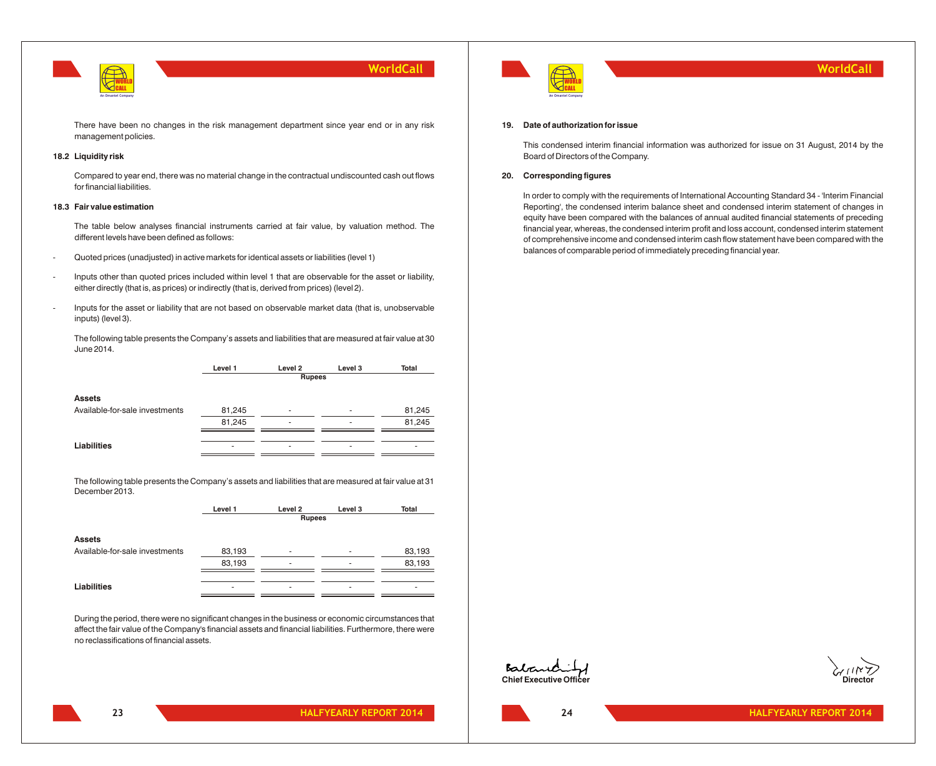

There have been no changes in the risk management department since year end or in any risk management policies.

### **18.2 Liquidity risk**

Compared to year end, there was no material change in the contractual undiscounted cash out flows for financial liabilities.

### **18.3 Fair value estimation**

The table below analyses financial instruments carried at fair value, by valuation method. The different levels have been defined as follows:

- Quoted prices (unadjusted) in active markets for identical assets or liabilities (level 1)
- Inputs other than quoted prices included within level 1 that are observable for the asset or liability, either directly (that is, as prices) or indirectly (that is, derived from prices) (level 2).
- Inputs for the asset or liability that are not based on observable market data (that is, unobservable inputs) (level 3).

The following table presents the Company's assets and liabilities that are measured at fair value at 30 June 2014.

> **Level 1 Level 2 Level 3 Total Rupees**

#### **Assets**

| Available-for-sale investments | 81.245 | $\sim$ | 81.245 |
|--------------------------------|--------|--------|--------|
|                                | 81,245 |        | 81.245 |
|                                |        |        |        |
| <b>Liabilities</b>             | ۰      | ۰      |        |
|                                |        |        |        |

The following table presents the Company's assets and liabilities that are measured at fair value at 31 December 2013.

Available-for-sale investments  $83,193$  - 83,193

| Level 1 | Level 2 | Level 3 | Total         |  |
|---------|---------|---------|---------------|--|
|         |         |         |               |  |
|         |         |         |               |  |
|         |         |         |               |  |
|         |         |         | <b>Rupees</b> |  |

83,193 - 83,193

**Assets**

| Liabilities<br>. |  |  |
|------------------|--|--|

During the period, there were no significant changes in the business or economic circumstances that affect the fair value of the Company's financial assets and financial liabilities. Furthermore, there were no reclassifications of financial assets.



### **19. Date of authorization for issue**

This condensed interim financial information was authorized for issue on 31 August, 2014 by the Board of Directors of the Company.

### **20. Corresponding figures**

In order to comply with the requirements of International Accounting Standard 34 - 'Interim Financial Reporting', the condensed interim balance sheet and condensed interim statement of changes in equity have been compared with the balances of annual audited financial statements of preceding financial year, whereas, the condensed interim profit and loss account, condensed interim statement of comprehensive income and condensed interim cash flow statement have been compared with the balances of comparable period of immediately preceding financial year.



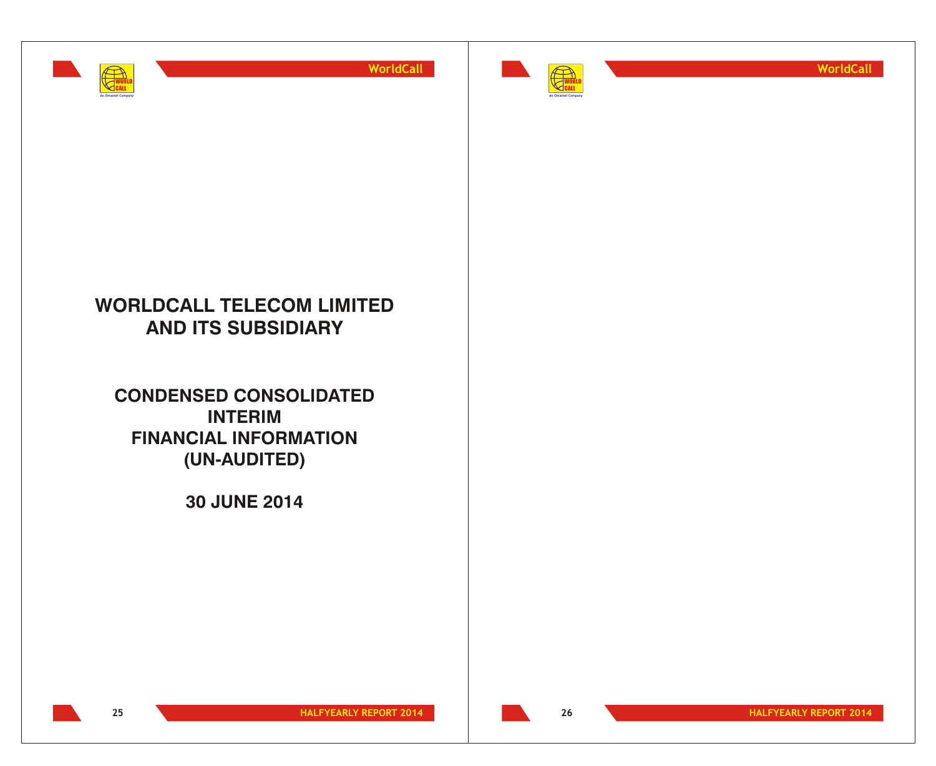



**WorldCall**

# **WORLDCALL TELECOM LIMITED AND ITS SUBSIDIARY**

**CONDENSED CONSOLIDATED INTERIM FINANCIAL INFORMATION (UN-AUDITED)**

**30 JUNE 2014**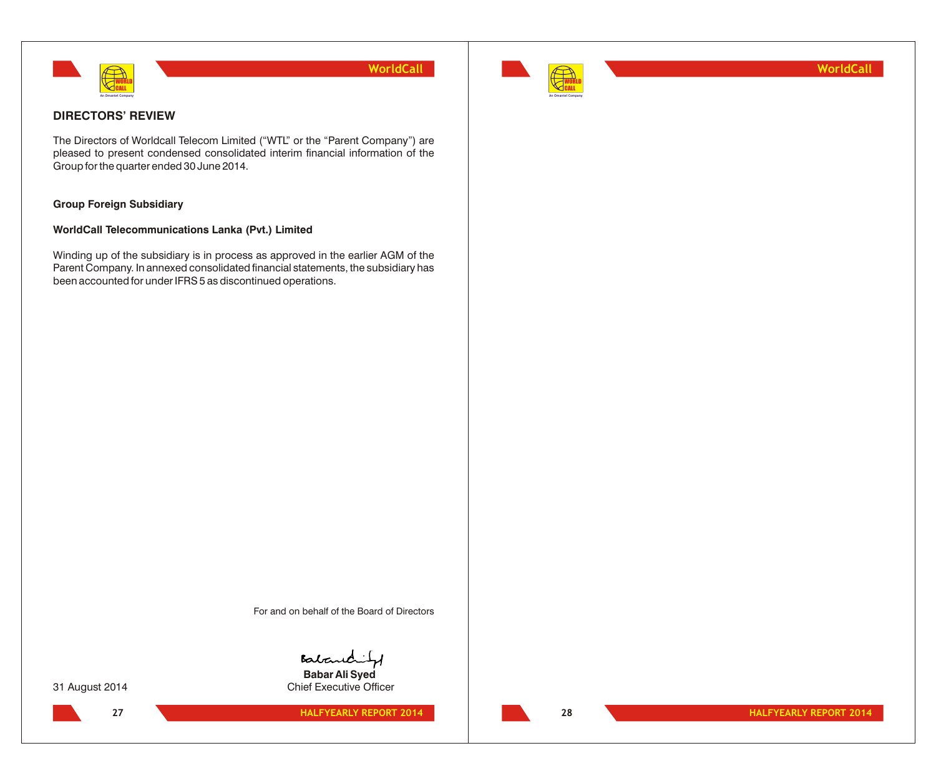



**WorldCall**

# **DIRECTORS' REVIEW**

The Directors of Worldcall Telecom Limited ("WTL" or the "Parent Company") are pleased to present condensed consolidated interim financial information of the Group for the quarter ended 30 June 2014.

# **Group Foreign Subsidiary**

### **WorldCall Telecommunications Lanka (Pvt.) Limited**

Winding up of the subsidiary is in process as approved in the earlier AGM of the Parent Company. In annexed consolidated financial statements, the subsidiary has been accounted for under IFRS 5 as discontinued operations.

For and on behalf of the Board of Directors

Baland **Babar Ali Syed**

31 August 2014 Chief Executive Officer

**HALFYEARLY REPORT 2014 HALFYEARLY REPORT 2014 27 28**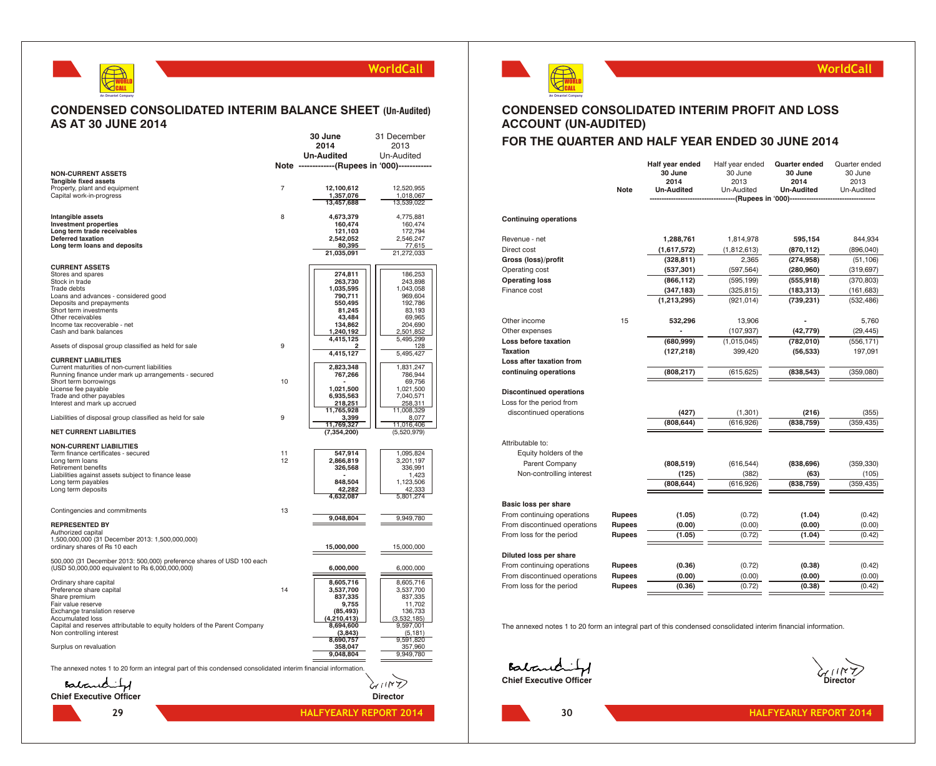

### **CONDENSED CONSOLIDATED INTERIM BALANCE SHEET (Un-Audited) AS AT 30 JUNE 2014**

|                                                                                                               |                | 30 June                                          | 31 December          |
|---------------------------------------------------------------------------------------------------------------|----------------|--------------------------------------------------|----------------------|
|                                                                                                               |                | 2014                                             | 2013                 |
|                                                                                                               |                | Un-Audited                                       | Un-Audited           |
| <b>NON-CURRENT ASSETS</b>                                                                                     |                | Note --------------(Rupees in '000)------------- |                      |
| Tangible fixed assets                                                                                         |                |                                                  |                      |
| Property, plant and equipment                                                                                 | $\overline{7}$ | 12,100,612                                       | 12,520,955           |
| Capital work-in-progress                                                                                      |                | 1,357,076                                        | 1,018,067            |
|                                                                                                               |                | 13,457,688                                       | 13,539,022           |
| Intangible assets                                                                                             | 8              | 4,673,379                                        | 4,775,881            |
| <b>Investment properties</b>                                                                                  |                | 160,474                                          | 160,474              |
| Long term trade receivables<br>Deferred taxation                                                              |                | 121,103<br>2,542,052                             | 172,794<br>2,546,247 |
| Long term loans and deposits                                                                                  |                | 80,395                                           | 77,615               |
|                                                                                                               |                | 21,035,091                                       | 21,272,033           |
| <b>CURRENT ASSETS</b>                                                                                         |                |                                                  |                      |
| Stores and spares                                                                                             |                | 274,811                                          | 186,253              |
| Stock in trade                                                                                                |                | 263,730                                          | 243,898              |
| Trade debts<br>Loans and advances - considered good                                                           |                | 1,035,595<br>790,711                             | 1,043,058<br>969,604 |
| Deposits and prepayments                                                                                      |                | 550,495                                          | 192,786              |
| Short term investments                                                                                        |                | 81,245                                           | 83,193               |
| Other receivables                                                                                             |                | 43,484                                           | 69,965               |
| Income tax recoverable - net<br>Cash and bank balances                                                        |                | 134,862<br>1,240,192                             | 204,690<br>2,501,852 |
|                                                                                                               |                | 4,415,125                                        | 5,495,299            |
| Assets of disposal group classified as held for sale                                                          | 9              | $\overline{a}$                                   | 128                  |
| <b>CURRENT LIABILITIES</b>                                                                                    |                | 4,415,127                                        | 5,495,427            |
| Current maturities of non-current liabilities                                                                 |                | 2,823,348                                        | 1,831,247            |
| Running finance under mark up arrangements - secured                                                          |                | 767,266                                          | 786,944              |
| Short term borrowings                                                                                         | 10             | 1,021,500                                        | 69,756<br>1,021,500  |
| License fee payable<br>Trade and other payables                                                               |                | 6,935,563                                        | 7,040,571            |
| Interest and mark up accrued                                                                                  |                | 218,251                                          | 258,311              |
|                                                                                                               |                | 11,765,928                                       | 11,008,329           |
| Liabilities of disposal group classified as held for sale                                                     | 9              | 3,399<br>11,769,327                              | 8,077<br>11,016,406  |
| <b>NET CURRENT LIABILITIES</b>                                                                                |                | (7, 354, 200)                                    | (5,520,979)          |
|                                                                                                               |                |                                                  |                      |
| <b>NON-CURRENT LIABILITIES</b><br>Term finance certificates - secured                                         | 11             | 547,914                                          | 1,095,824            |
| Long term loans                                                                                               | 12             | 2,866,819                                        | 3,201,197            |
| Retirement benefits                                                                                           |                | 326,568                                          | 336,991              |
| Liabilities against assets subject to finance lease                                                           |                | 848,504                                          | 1,423                |
| Long term payables<br>Long term deposits                                                                      |                | 42,282                                           | 1,123,506<br>42,333  |
|                                                                                                               |                | 4,632,087                                        | 5,801,274            |
|                                                                                                               | 13             |                                                  |                      |
| Contingencies and commitments                                                                                 |                | 9,048,804                                        | 9,949,780            |
| <b>REPRESENTED BY</b>                                                                                         |                |                                                  |                      |
| Authorized capital                                                                                            |                |                                                  |                      |
| 1,500,000,000 (31 December 2013: 1,500,000,000)<br>ordinary shares of Rs 10 each                              |                | 15,000,000                                       | 15,000,000           |
|                                                                                                               |                |                                                  |                      |
| 500,000 (31 December 2013: 500,000) preference shares of USD 100 each                                         |                |                                                  |                      |
| (USD 50,000,000 equivalent to Rs 6,000,000,000)                                                               |                | 6,000,000                                        | 6,000,000            |
| Ordinary share capital                                                                                        |                | 8,605,716                                        | 8,605,716            |
| Preference share capital                                                                                      | 14             | 3,537,700                                        | 3,537,700            |
| Share premium                                                                                                 |                | 837,335                                          | 837,335              |
| Fair value reserve<br>Exchange translation reserve                                                            |                | 9,755<br>(85, 493)                               | 11,702<br>136,733    |
| <b>Accumulated loss</b>                                                                                       |                | (4, 210, 413)                                    | (3,532,185)          |
| Capital and reserves attributable to equity holders of the Parent Company                                     |                | 8,694,600                                        | 9,597,001            |
| Non controlling interest                                                                                      |                | (3, 843)                                         | (5, 181)             |
| Surplus on revaluation                                                                                        |                | 8,690,757<br>358,047                             | 9,591,820<br>357,960 |
|                                                                                                               |                | 9,048,804                                        | 9,949,780            |
|                                                                                                               |                |                                                  |                      |
| The annexed notes 1 to 20 form an integral part of this condensed consolidated interim financial information. |                |                                                  |                      |
| Babandit                                                                                                      |                |                                                  |                      |
| <b>Chief Executive Officer</b>                                                                                |                |                                                  |                      |
|                                                                                                               |                |                                                  | <b>Director</b>      |
| 29                                                                                                            |                | <b>HALFYEARLY REPORT 2014</b>                    |                      |



### **WorldCall**

# **CONDENSED CONSOLIDATED INTERIM PROFIT AND LOSS ACCOUNT (UN-AUDITED)**

# **FOR THE QUARTER AND HALF YEAR ENDED 30 JUNE 2014**

|                                                            | <b>Note</b>   | Half year ended<br>30 June<br>2014<br>Un-Audited | Half year ended<br>30 June<br>2013<br>Un-Audited | <b>Quarter ended</b><br>30 June<br>2014<br><b>Un-Audited</b> | Quarter ended<br>30 June<br>2013<br>Un-Audited |
|------------------------------------------------------------|---------------|--------------------------------------------------|--------------------------------------------------|--------------------------------------------------------------|------------------------------------------------|
|                                                            |               |                                                  | --(Rupees in '000)--------                       |                                                              |                                                |
| <b>Continuing operations</b>                               |               |                                                  |                                                  |                                                              |                                                |
| Revenue - net                                              |               | 1,288,761                                        | 1,814,978                                        | 595,154                                                      | 844,934                                        |
| Direct cost                                                |               | (1,617,572)                                      | (1,812,613)                                      | (870,112)                                                    | (896,040)                                      |
| Gross (loss)/profit                                        |               | (328, 811)                                       | 2,365                                            | (274,958)                                                    | (51, 106)                                      |
| Operating cost                                             |               | (537, 301)                                       | (597, 564)                                       | (280, 960)                                                   | (319, 697)                                     |
| <b>Operating loss</b>                                      |               | (866, 112)                                       | (595, 199)                                       | (555, 918)                                                   | (370, 803)                                     |
| Finance cost                                               |               | (347, 183)                                       | (325, 815)                                       | (183,313)                                                    | (161, 683)                                     |
|                                                            |               | (1,213,295)                                      | (921, 014)                                       | (739,231)                                                    | (532, 486)                                     |
| Other income                                               | 15            | 532,296                                          | 13,906                                           |                                                              | 5,760                                          |
| Other expenses                                             |               |                                                  | (107,937)                                        | (42, 779)                                                    | (29, 445)                                      |
| Loss before taxation                                       |               | (680, 999)                                       | (1,015,045)                                      | (782, 010)                                                   | (556, 171)                                     |
| <b>Taxation</b>                                            |               | (127, 218)                                       | 399,420                                          | (56, 533)                                                    | 197,091                                        |
| Loss after taxation from                                   |               |                                                  |                                                  |                                                              |                                                |
| continuing operations                                      |               | (808, 217)                                       | (615, 625)                                       | (838, 543)                                                   | (359,080)                                      |
| <b>Discontinued operations</b><br>Loss for the period from |               |                                                  |                                                  |                                                              |                                                |
| discontinued operations                                    |               | (427)                                            | (1,301)                                          | (216)                                                        | (355)                                          |
|                                                            |               | (808, 644)                                       | (616,926)                                        | (838, 759)                                                   | (359, 435)                                     |
| Attributable to:<br>Equity holders of the                  |               |                                                  |                                                  |                                                              |                                                |
| Parent Company                                             |               | (808, 519)                                       | (616, 544)                                       | (838, 696)                                                   | (359, 330)                                     |
| Non-controlling interest                                   |               | (125)                                            | (382)                                            | (63)                                                         | (105)                                          |
|                                                            |               | (808, 644)                                       | (616, 926)                                       | (838, 759)                                                   | (359, 435)                                     |
| Basic loss per share                                       |               |                                                  |                                                  |                                                              |                                                |
| From continuing operations                                 | <b>Rupees</b> | (1.05)                                           | (0.72)                                           | (1.04)                                                       | (0.42)                                         |
| From discontinued operations                               | <b>Rupees</b> | (0.00)                                           | (0.00)                                           | (0.00)                                                       | (0.00)                                         |
| From loss for the period                                   | <b>Rupees</b> | (1.05)                                           | (0.72)                                           | (1.04)                                                       | (0.42)                                         |
| Diluted loss per share                                     |               |                                                  |                                                  |                                                              |                                                |
| From continuing operations                                 | Rupees        | (0.36)                                           | (0.72)                                           | (0.38)                                                       | (0.42)                                         |
| From discontinued operations                               | Rupees        | (0.00)                                           | (0.00)                                           | (0.00)                                                       | (0.00)                                         |
| From loss for the period                                   | Rupees        | (0.36)                                           | (0.72)                                           | (0.38)                                                       | (0.42)                                         |

The annexed notes 1 to 20 form an integral part of this condensed consolidated interim financial information.

**Contained by Executive Officer** Director Director

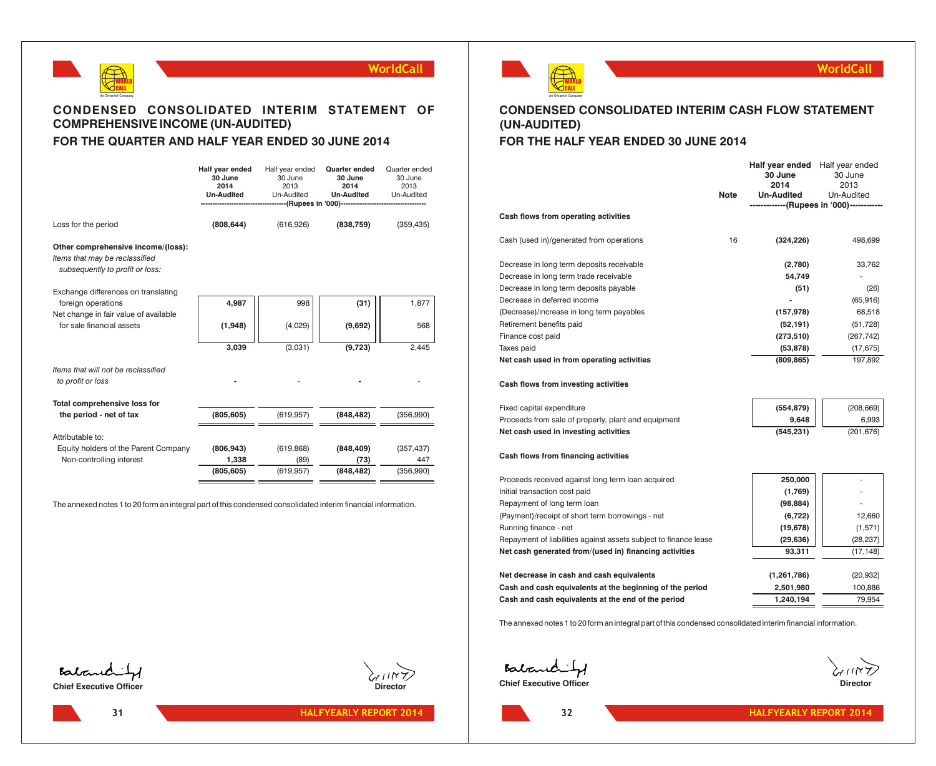



# **CONDENSED CONSOLIDATED INTERIM STATEMENT OF COMPREHENSIVE INCOME (UN-AUDITED) FOR THE QUARTER AND HALF YEAR ENDED 30 JUNE 2014**

|                                                                                                         | Half year ended<br>30 June<br>2014<br><b>Un-Audited</b> | Half year ended<br>30 June<br>2013<br>Un-Audited | Quarter ended<br>30 June<br>2014<br><b>Un-Audited</b><br>---(Rupees in '000)-------------------- | Quarter ended<br>30 June<br>2013<br>Un-Audited |
|---------------------------------------------------------------------------------------------------------|---------------------------------------------------------|--------------------------------------------------|--------------------------------------------------------------------------------------------------|------------------------------------------------|
| Loss for the period                                                                                     | (808, 644)                                              | (616, 926)                                       | (838, 759)                                                                                       | (359, 435)                                     |
| Other comprehensive income/(loss):<br>Items that may be reclassified<br>subsequently to profit or loss: |                                                         |                                                  |                                                                                                  |                                                |
| Exchange differences on translating<br>foreign operations                                               | 4,987                                                   | 998                                              | (31)                                                                                             | 1,877                                          |
| Net change in fair value of available<br>for sale financial assets                                      | (1,948)                                                 | (4,029)                                          | (9,692)                                                                                          | 568                                            |
|                                                                                                         | 3,039                                                   | (3,031)                                          | (9,723)                                                                                          | 2,445                                          |
| Items that will not be reclassified<br>to profit or loss                                                |                                                         |                                                  |                                                                                                  |                                                |
| Total comprehensive loss for<br>the period - net of tax                                                 | (805, 605)                                              | (619, 957)                                       | (848, 482)                                                                                       | (356,990)                                      |
| Attributable to:                                                                                        |                                                         |                                                  |                                                                                                  |                                                |
| Equity holders of the Parent Company                                                                    | (806, 943)                                              | (619, 868)                                       | (848, 409)                                                                                       | (357, 437)                                     |
| Non-controlling interest                                                                                | 1,338                                                   | (89)                                             | (73)                                                                                             | 447                                            |
|                                                                                                         | (805, 605)                                              | (619.957)                                        | (848, 482)                                                                                       | (356,990)                                      |

The annexed notes 1 to 20 form an integral part of this condensed consolidated interim financial information.



### **WorldCall**

# **CONDENSED CONSOLIDATED INTERIM CASH FLOW STATEMENT (UN-AUDITED)**

# **FOR THE HALF YEAR ENDED 30 JUNE 2014**

|                                                                  | <b>Note</b> | Half year ended<br>30 June<br>2014<br><b>Un-Audited</b> | Half year ended<br>30 June<br>2013<br>Un-Audited<br>------------(Rupees in '000)----------- |
|------------------------------------------------------------------|-------------|---------------------------------------------------------|---------------------------------------------------------------------------------------------|
| Cash flows from operating activities                             |             |                                                         |                                                                                             |
| Cash (used in)/generated from operations                         | 16          | (324, 226)                                              | 498,699                                                                                     |
| Decrease in long term deposits receivable                        |             | (2,780)                                                 | 33,762                                                                                      |
| Decrease in long term trade receivable                           |             | 54,749                                                  |                                                                                             |
| Decrease in long term deposits payable                           |             | (51)                                                    | (26)                                                                                        |
| Decrease in deferred income                                      |             |                                                         | (65, 916)                                                                                   |
| (Decrease)/increase in long term payables                        |             | (157, 978)                                              | 68,518                                                                                      |
| Retirement benefits paid                                         |             | (52, 191)                                               | (51, 728)                                                                                   |
| Finance cost paid                                                |             | (273, 510)                                              | (267, 742)                                                                                  |
| Taxes paid                                                       |             | (53, 878)                                               | (17, 675)                                                                                   |
| Net cash used in from operating activities                       |             | (809, 865)                                              | 197,892                                                                                     |
| Cash flows from investing activities                             |             |                                                         |                                                                                             |
| Fixed capital expenditure                                        |             | (554, 879)                                              | (208, 669)                                                                                  |
| Proceeds from sale of property, plant and equipment              |             | 9,648                                                   | 6,993                                                                                       |
| Net cash used in investing activities                            |             | (545, 231)                                              | (201, 676)                                                                                  |
| Cash flows from financing activities                             |             |                                                         |                                                                                             |
| Proceeds received against long term loan acquired                |             | 250,000                                                 |                                                                                             |
| Initial transaction cost paid                                    |             | (1,769)                                                 |                                                                                             |
| Repayment of long term loan                                      |             | (98, 884)                                               |                                                                                             |
| (Payment)/receipt of short term borrowings - net                 |             | (6, 722)                                                | 12,660                                                                                      |
| Running finance - net                                            |             | (19, 678)                                               | (1,571)                                                                                     |
| Repayment of liabilities against assets subject to finance lease |             | (29, 636)                                               | (28, 237)                                                                                   |
| Net cash generated from/(used in) financing activities           |             | 93,311                                                  | (17, 148)                                                                                   |
|                                                                  |             |                                                         |                                                                                             |
| Net decrease in cash and cash equivalents                        |             | (1,261,786)                                             | (20, 932)                                                                                   |
| Cash and cash equivalents at the beginning of the period         |             | 2,501,980                                               | 100,886                                                                                     |
| Cash and cash equivalents at the end of the period               |             | 1,240,194                                               | 79,954                                                                                      |

The annexed notes 1 to 20 form an integral part of this condensed consolidated interim financial information.

**Contact of Executive Officer** Director Director

Babandity **Chief Executive Officer** 



**31**

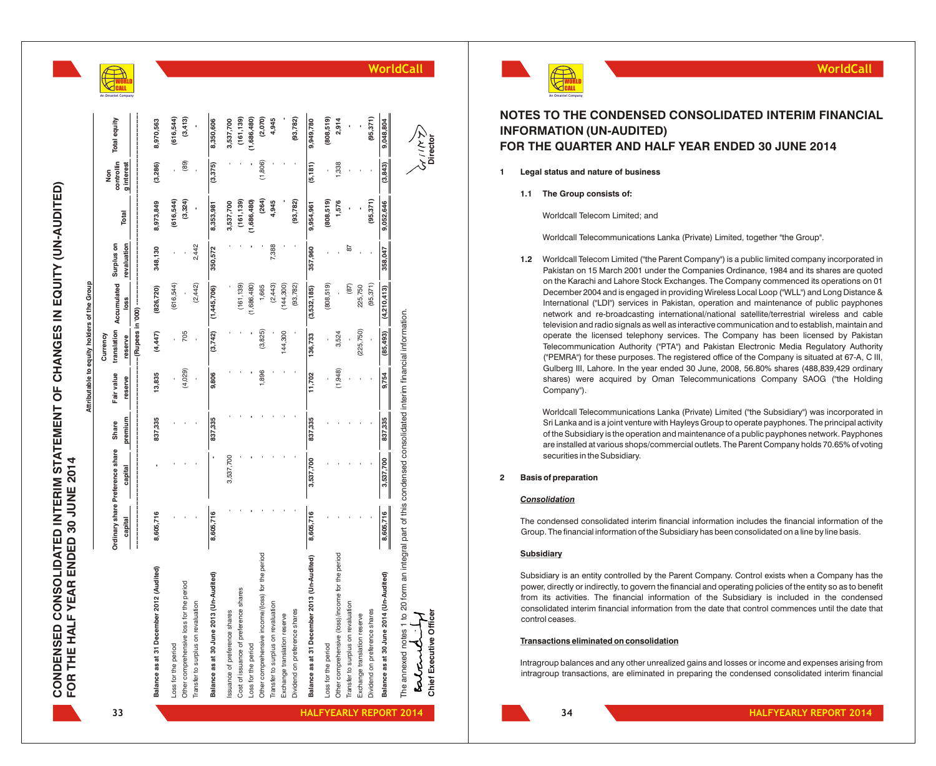|                                      |                                             | ş                                                                                    |
|--------------------------------------|---------------------------------------------|--------------------------------------------------------------------------------------|
| FOR THE HALF YEAR ENDED 30 JUNE 2014 | Attributable to equity holders of the Group | Ordinary share Preference share Share Fair wallie franclation Surplus on<br>zurrencv |

|                                                  |           |                                 |         |            | Currency                     |                                    |             |             | Non        |              |
|--------------------------------------------------|-----------|---------------------------------|---------|------------|------------------------------|------------------------------------|-------------|-------------|------------|--------------|
|                                                  |           | Ordinary share Preference share | Share   | Fair value |                              | translation Accumulated Surplus on |             | Total       | controllin | Total equity |
|                                                  | capital   | capital                         | premium | reserve    | -(Rupees in '000)<br>reserve | loss                               | revaluation |             | g interest |              |
|                                                  |           |                                 |         |            |                              |                                    |             |             |            |              |
| Balance as at 31 December 2012 (Audited)         | 8,605,716 |                                 | 837,335 | 13,835     | (4,447)                      | (826, 720)                         | 348,130     | 8,973,849   | (3,286)    | 8,970,563    |
| Loss for the period                              |           |                                 |         |            |                              | (616, 544)                         |             | (616, 544)  |            | (616, 544)   |
| Other comprehensive loss for the period          |           |                                 |         | (4,029)    | 705                          |                                    |             | (3,324)     | (89)       | (3, 413)     |
| Transfer to surplus on revaluation               |           |                                 |         |            |                              | (2, 442)                           | 2,442       |             |            |              |
| Balance as at 30 June 2013 (Un-Audited)          | 8,605,716 |                                 | 837,335 | 9,806      | (3,742)                      | (1,445,706)                        | 350,572     | 8,353,981   | (3,375)    | 8,350,606    |
| ssuance of preference shares                     |           | 3,537,700                       |         |            |                              |                                    |             | 3,537,700   |            | 3,537,700    |
| Cost of issuance of preference shares            |           |                                 |         |            |                              | (161, 139)                         |             | (161, 139)  |            | (161, 139)   |
| Loss for the period                              |           |                                 |         |            |                              | (1,686,480)                        |             | (1,686,480) |            | (1,686,480)  |
| Other comprehensive income/(loss) for the period |           |                                 |         | 1,896      | (3,825)                      | 1,665                              |             | (264)       | (1,806)    | (2,070)      |
| Transfer to surplus on revaluation               |           |                                 |         |            |                              | (2, 443)                           | 7,388       | 4,945       |            | 4,945        |
| Exchange translation reserve                     |           |                                 |         |            | 144,300                      | (144, 300)                         |             |             |            |              |
| Dividend on preference shares                    |           |                                 |         |            |                              | (93, 782)                          |             | (93, 782)   |            | (93, 782)    |
| Balance as at 31 December 2013 (Un-Audited)      | 8,605,716 | 3,537,700                       | 837,335 | 11,702     | 136,733                      | (3,532,185)                        | 357,960     | 9,954,961   | (5, 181)   | 9,949,780    |
| Loss for the period                              |           |                                 |         |            |                              | (808, 519)                         |             | (808,519)   |            | (808,519)    |
| Other comprehensive (loss)/income for the period |           |                                 |         | (1,948)    | 3,524                        |                                    |             | 1,576       | 1,338      | 2,914        |
| Transfer to surplus on revaluation               |           |                                 |         |            |                              | (87)                               | 87          |             |            |              |
| Exchange translation reserve                     |           |                                 |         |            | (225, 750)                   | 225,750                            |             |             |            |              |
| Dividend on preference shares                    |           |                                 |         |            |                              | (95, 371)                          |             | (95, 371)   |            | (95, 371)    |
| Balance as at 30 June 2014 (Un-Audited)          | 8,605,716 | 3,537,700                       | 837,335 | 9,754      | (85, 493)                    | (4,210,413)                        | 358,047     | 9,052,646   | (3, 843)   | 9,048,804    |

# **WorldCall**



# **NOTES TO THE CONDENSED CONSOLIDATED INTERIM FINANCIAL INFORMATION (UN-AUDITED) FOR THE QUARTER AND HALF YEAR ENDED 30 JUNE 2014**

- **1 Legal status and nature of business**
	- **1.1 The Group consists of:**

Worldcall Telecom Limited; and

Worldcall Telecommunications Lanka (Private) Limited, together "the Group".

1.2 Worldcall Telecom Limited ("the Parent Company") is a public limited company incorporated in Pakistan on 15 March 2001 under the Companies Ordinance, 1984 and its shares are quoted on the Karachi and Lahore Stock Exchanges. The Company commenced its operations on 01 December 2004 and is engaged in providing Wireless Local Loop ("WLL") and Long Distance & International ("LDI") services in Pakistan, operation and maintenance of public payphones network and re-broadcasting international/national satellite/terrestrial wireless and cable television and radio signals as well as interactive communication and to establish, maintain and operate the licensed telephony services. The Company has been licensed by Pakistan Telecommunication Authority ("PTA") and Pakistan Electronic Media Regulatory Authority ("PEMRA") for these purposes. The registered office of the Company is situated at 67-A, C III, Gulberg III, Lahore. In the year ended 30 June, 2008, 56.80% shares (488,839,429 ordinary shares) were acquired by Oman Telecommunications Company SAOG ("the Holding Company"). **INTERTITY CALL THE CONDENSED CONSOLIDATED INTERIM FINANCIAL<br>
<b>IFFER TO THE COURTER AND HALF YEAR ENDED 30 JUNE 2014**<br> **IFFER OUARTER AND HALF YEAR ENDED 30 JUNE 2014**<br> **IFFER OUARTER AND HALF YEAR ENDED 30 JUNE 2014**<br> **CO** 

Worldcall Telecommunications Lanka (Private) Limited ("the Subsidiary") was incorporated in Sri Lanka and is a joint venture with Hayleys Group to operate payphones. The principal activity of the Subsidiary is the operation and maintenance of a public payphones network. Payphones are installed at various shops/commercial outlets. The Parent Company holds 70.65% of voting securities in the Subsidiary .

### **2 Basis of preparation**

### *Consolidation*

The condensed consolidated interim financial information includes the financial information of the Group. The financial information of the Subsidiary has been consolidated on a line by line basis.

### **Subsidiary**

Subsidiary is an entity controlled by the Parent Company. Control exists when a Company has the power, directly or indirectly, to govern the financial and operating policies of the entity so as to benefit from its activities. The financial information of the Subsidiary is included in the condensed consolidated interim financial information from the date that control commences until the date that control ceases.

### **Transactions eliminated on consolidation**

Intragroup balances and any other unrealized gains and losses or income and expenses arising from

**Chief Executive Officer**

**34**

**HALFYEARLY REPORT 2014 HALFYEARLY REPORT 2014**

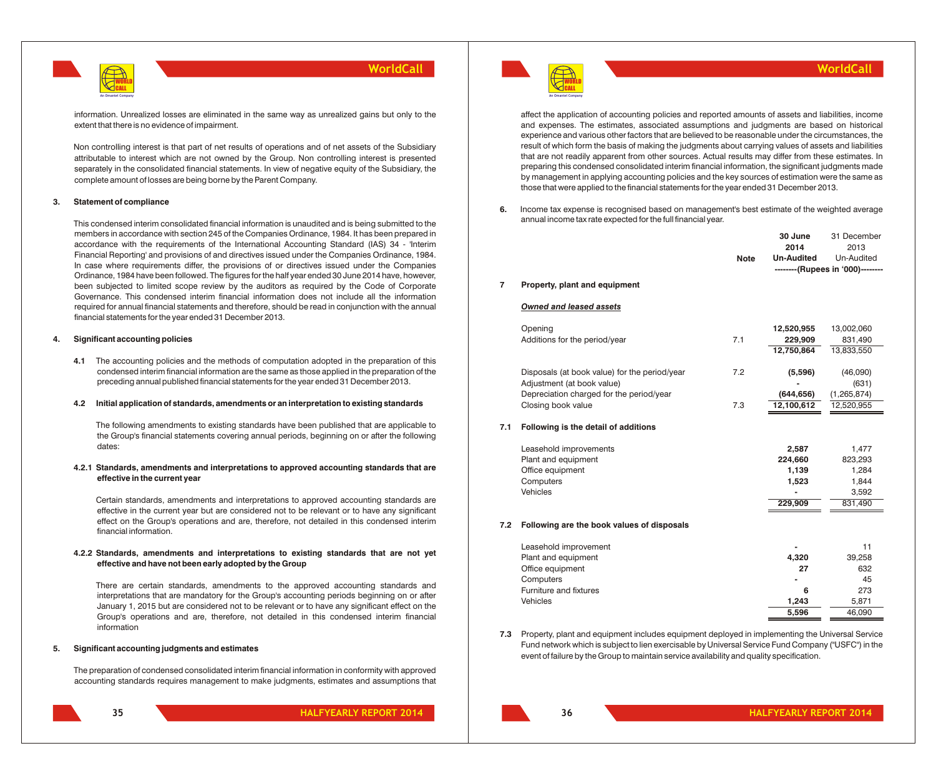

information. Unrealized losses are eliminated in the same way as unrealized gains but only to the extent that there is no evidence of impairment.

Non controlling interest is that part of net results of operations and of net assets of the Subsidiary attributable to interest which are not owned by the Group. Non controlling interest is presented separately in the consolidated financial statements. In view of negative equity of the Subsidiary, the complete amount of losses are being borne by the Parent Company.

### **3. Statement of compliance**

This condensed interim consolidated financial information is unaudited and is being submitted to the members in accordance with section 245 of the Companies Ordinance, 1984. It has been prepared in accordance with the requirements of the International Accounting Standard (IAS) 34 - 'Interim Financial Reporting' and provisions of and directives issued under the Companies Ordinance, 1984. In case where requirements differ, the provisions of or directives issued under the Companies Ordinance, 1984 have been followed. The figures for the half year ended 30 June 2014 have, however, been subjected to limited scope review by the auditors as required by the Code of Corporate Governance. This condensed interim financial information does not include all the information required for annual financial statements and therefore, should be read in conjunction with the annual financial statements for the year ended 31 December 2013.

### **4. Significant accounting policies**

**4.1** The accounting policies and the methods of computation adopted in the preparation of this condensed interim financial information are the same as those applied in the preparation of the preceding annual published financial statements for the year ended 31 December 2013.

### **4.2 Initial application of standards, amendments or an interpretation to existing standards**

The following amendments to existing standards have been published that are applicable to the Group's financial statements covering annual periods, beginning on or after the following dates:

### **4.2.1 Standards, amendments and interpretations to approved accounting standards that are effective in the current year**

Certain standards, amendments and interpretations to approved accounting standards are effective in the current year but are considered not to be relevant or to have any significant effect on the Group's operations and are, therefore, not detailed in this condensed interim financial information.

### **4.2.2 Standards, amendments and interpretations to existing standards that are not yet effective and have not been early adopted by the Group**

There are certain standards, amendments to the approved accounting standards and interpretations that are mandatory for the Group's accounting periods beginning on or after January 1, 2015 but are considered not to be relevant or to have any significant effect on the Group's operations and are, therefore, not detailed in this condensed interim financial information

### **5. Significant accounting judgments and estimates**

The preparation of condensed consolidated interim financial information in conformity with approved accounting standards requires management to make judgments, estimates and assumptions that

**HALFYEARLY REPORT 2014 HALFYEARLY REPORT 2014**



### **WorldCall**

affect the application of accounting policies and reported amounts of assets and liabilities, income and expenses. The estimates, associated assumptions and judgments are based on historical experience and various other factors that are believed to be reasonable under the circumstances, the result of which form the basis of making the judgments about carrying values of assets and liabilities that are not readily apparent from other sources. Actual results may differ from these estimates. In preparing this condensed consolidated interim financial information, the significant judgments made by management in applying accounting policies and the key sources of estimation were the same as those that were applied to the financial statements for the year ended 31 December 2013.

**6.** Income tax expense is recognised based on management's best estimate of the weighted average annual income tax rate expected for the full financial year.

|     |                                               | <b>Note</b> | 30 June<br>2014<br><b>Un-Audited</b> | 31 December<br>2013<br>Un-Audited |
|-----|-----------------------------------------------|-------------|--------------------------------------|-----------------------------------|
|     |                                               |             |                                      | --------(Rupees in '000)--------  |
| 7   | Property, plant and equipment                 |             |                                      |                                   |
|     | <b>Owned and leased assets</b>                |             |                                      |                                   |
|     | Opening                                       |             | 12,520,955                           | 13,002,060                        |
|     | Additions for the period/year                 | 7.1         | 229,909                              | 831,490                           |
|     |                                               |             | 12,750,864                           | 13,833,550                        |
|     | Disposals (at book value) for the period/year | 7.2         | (5,596)                              | (46,090)                          |
|     | Adjustment (at book value)                    |             |                                      | (631)                             |
|     | Depreciation charged for the period/year      |             | (644, 656)                           | (1, 265, 874)                     |
|     | Closing book value                            | 7.3         | 12,100,612                           | 12,520,955                        |
| 7.1 | Following is the detail of additions          |             |                                      |                                   |
|     | Leasehold improvements                        |             | 2,587                                | 1,477                             |
|     | Plant and equipment                           |             | 224,660                              | 823,293                           |
|     | Office equipment                              |             | 1,139                                | 1,284                             |
|     | Computers                                     |             | 1,523                                | 1,844                             |
|     | Vehicles                                      |             |                                      | 3,592                             |
|     |                                               |             | 229,909                              | 831,490                           |
| 7.2 | Following are the book values of disposals    |             |                                      |                                   |
|     | Leasehold improvement                         |             |                                      | 11                                |
|     | Plant and equipment                           |             | 4,320                                | 39,258                            |
|     | Office equipment                              |             | 27                                   | 632                               |
|     | Computers                                     |             |                                      | 45                                |
|     | Furniture and fixtures                        |             | 6                                    | 273                               |
|     | Vehicles                                      |             | 1,243                                | 5,871                             |
|     |                                               |             | 5,596                                | 46,090                            |

**7.3** Property, plant and equipment includes equipment deployed in implementing the Universal Service Fund network which is subject to lien exercisable by Universal Service Fund Company ("USFC") in the event of failure by the Group to maintain service availability and quality specification.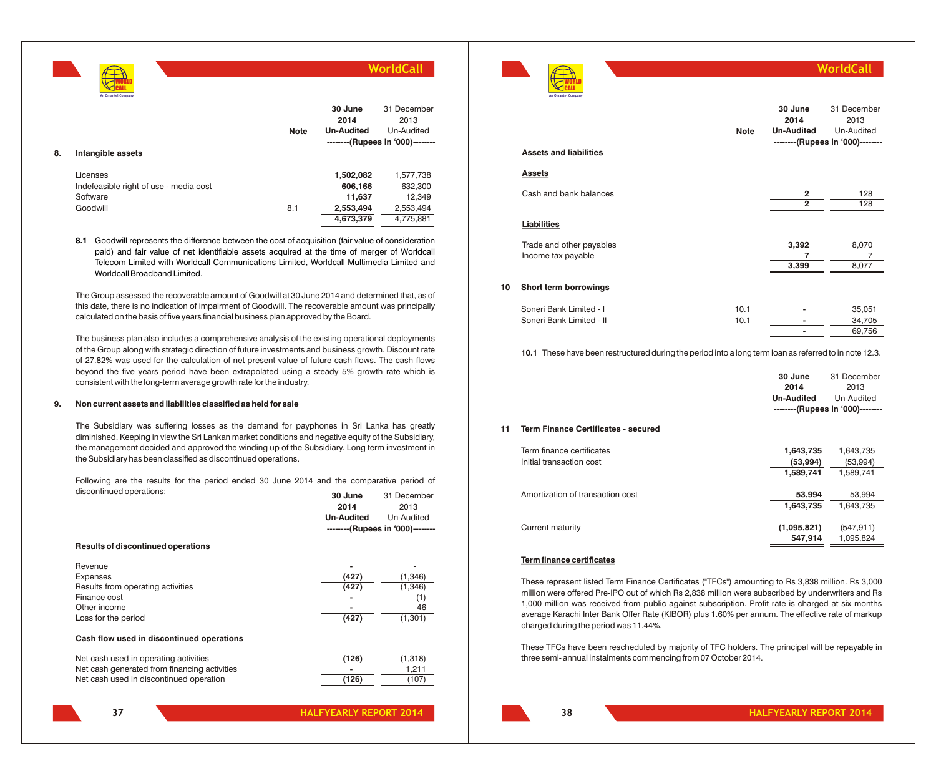WORLD CALL **An Omantel Company**

### **WorldCall**

| 8. | Intangible assets                                                          | <b>Note</b> | 30 June<br>2014<br><b>Un-Audited</b>                     | 31 December<br>2013<br>Un-Audited<br>--------(Rupees in '000)-------- |
|----|----------------------------------------------------------------------------|-------------|----------------------------------------------------------|-----------------------------------------------------------------------|
|    | Licenses<br>Indefeasible right of use - media cost<br>Software<br>Goodwill | 8.1         | 1,502,082<br>606,166<br>11,637<br>2,553,494<br>4,673,379 | 1,577,738<br>632,300<br>12,349<br>2,553,494<br>4,775,881              |

**8.1** Goodwill represents the difference between the cost of acquisition (fair value of consideration paid) and fair value of net identifiable assets acquired at the time of merger of Worldcall Telecom Limited with Worldcall Communications Limited, Worldcall Multimedia Limited and Worldcall Broadband Limited.

The Group assessed the recoverable amount of Goodwill at 30 June 2014 and determined that, as of this date, there is no indication of impairment of Goodwill. The recoverable amount was principally calculated on the basis of five years financial business plan approved by the Board.

The business plan also includes a comprehensive analysis of the existing operational deployments of the Group along with strategic direction of future investments and business growth. Discount rate of 27.82% was used for the calculation of net present value of future cash flows. The cash flows beyond the five years period have been extrapolated using a steady 5% growth rate which is consistent with the long-term average growth rate for the industry.

### **9. Non current assets and liabilities classified as held for sale**

The Subsidiary was suffering losses as the demand for payphones in Sri Lanka has greatly diminished. Keeping in view the Sri Lankan market conditions and negative equity of the Subsidiary, the management decided and approved the winding up of the Subsidiary. Long term investment in the Subsidiary has been classified as discontinued operations.

Following are the results for the period ended 30 June 2014 and the comparative period of discontinued operations: **30 June** 31 December

|                                              | 2014              | 2013                             |
|----------------------------------------------|-------------------|----------------------------------|
|                                              | <b>Un-Audited</b> | Un-Audited                       |
|                                              |                   | --------(Rupees in '000)-------- |
| Results of discontinued operations           |                   |                                  |
| Revenue                                      |                   |                                  |
| <b>Expenses</b>                              | (427)             | (1,346)                          |
| Results from operating activities            | (427)             | (1,346)                          |
| Finance cost                                 |                   | (1)                              |
| Other income                                 |                   | 46                               |
| Loss for the period                          | (427)             | (1, 301)                         |
| Cash flow used in discontinued operations    |                   |                                  |
| Net cash used in operating activities        | (126)             | (1,318)                          |
| Net cash generated from financing activities |                   | 1,211                            |
| Net cash used in discontinued operation      | (126)             | (107)                            |
|                                              |                   |                                  |



|    | <b>Assets and liabilities</b>                       | <b>Note</b>  | 30 June<br>2014<br><b>Un-Audited</b> | 31 December<br>2013<br>Un-Audited<br>--------(Rupees in '000)-------- |
|----|-----------------------------------------------------|--------------|--------------------------------------|-----------------------------------------------------------------------|
|    | <b>Assets</b>                                       |              |                                      |                                                                       |
|    | Cash and bank balances                              |              | 2<br>$\overline{2}$                  | 128<br>128                                                            |
|    | Liabilities                                         |              |                                      |                                                                       |
|    | Trade and other payables<br>Income tax payable      |              | 3,392<br>7<br>3,399                  | 8,070<br>7<br>8,077                                                   |
| 10 | Short term borrowings                               |              |                                      |                                                                       |
|    | Soneri Bank Limited - I<br>Soneri Bank Limited - II | 10.1<br>10.1 |                                      | 35,051<br>34,705<br>69,756                                            |

**10.1** These have been restructured during the period into a long term loan as referred to in note 12.3.

|    |                                                       | 30 June<br>2014<br><b>Un-Audited</b> | 31 December<br>2013<br>Un-Audited<br>--------(Rupees in '000)-------- |
|----|-------------------------------------------------------|--------------------------------------|-----------------------------------------------------------------------|
| 11 | Term Finance Certificates - secured                   |                                      |                                                                       |
|    | Term finance certificates<br>Initial transaction cost | 1,643,735<br>(53,994)<br>1,589,741   | 1,643,735<br>(53,994)<br>1,589,741                                    |
|    | Amortization of transaction cost                      | 53,994<br>1,643,735                  | 53,994<br>1,643,735                                                   |
|    | Current maturity                                      | (1,095,821)<br>547.914               | (547,911)<br>1,095,824                                                |

### **Term finance certificates**

These represent listed Term Finance Certificates ("TFCs") amounting to Rs 3,838 million. Rs 3,000 million were offered Pre-IPO out of which Rs 2,838 million were subscribed by underwriters and Rs 1,000 million was received from public against subscription. Profit rate is charged at six months average Karachi Inter Bank Offer Rate (KIBOR) plus 1.60% per annum. The effective rate of markup charged during the period was 11.44%.

These TFCs have been rescheduled by majority of TFC holders. The principal will be repayable in three semi- annual instalments commencing from 07 October 2014.

### **37**

**38**

**WorldCall**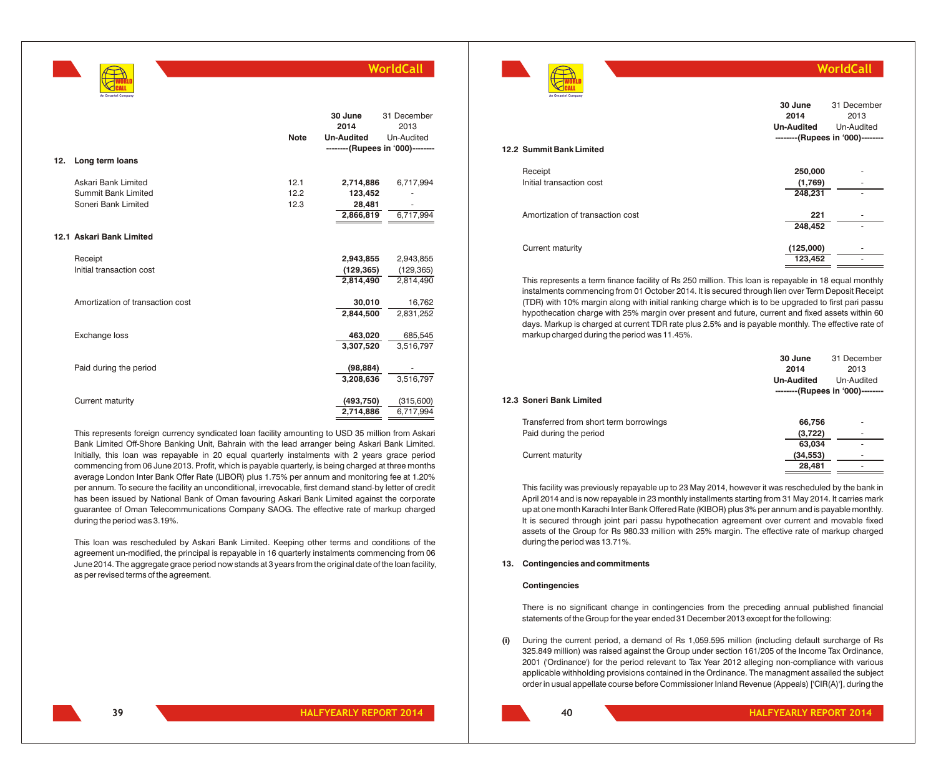|                                                                   | <b>Note</b>              | 30 June<br>2014<br><b>Un-Audited</b><br>--------(Rupees in '000)-------- | 31 December<br>2013<br>Un-Audited    |
|-------------------------------------------------------------------|--------------------------|--------------------------------------------------------------------------|--------------------------------------|
| Long term loans                                                   |                          |                                                                          |                                      |
| Askari Bank Limited<br>Summit Bank Limited<br>Soneri Bank Limited | 12.1<br>12.2<br>12.3     | 2,714,886<br>123,452<br>28,481<br>2,866,819                              | 6,717,994<br>6,717,994               |
|                                                                   |                          |                                                                          |                                      |
| Receipt<br>Initial transaction cost                               |                          | 2,943,855<br>(129, 365)<br>2.814.490                                     | 2,943,855<br>(129, 365)<br>2,814,490 |
| Amortization of transaction cost                                  |                          | 30,010<br>2,844,500                                                      | 16,762<br>2,831,252                  |
| Exchange loss                                                     |                          | 463,020<br>3,307,520                                                     | 685,545<br>3,516,797                 |
| Paid during the period                                            |                          | (98, 884)                                                                | 3,516,797                            |
| Current maturity                                                  |                          | (493, 750)                                                               | (315,600)<br>6,717,994               |
|                                                                   | 12.1 Askari Bank Limited |                                                                          | 3.208.636<br>2,714,886               |

This represents foreign currency syndicated loan facility amounting to USD 35 million from Askari Bank Limited Off-Shore Banking Unit, Bahrain with the lead arranger being Askari Bank Limited. Initially, this loan was repayable in 20 equal quarterly instalments with 2 years grace period commencing from 06 June 2013. Profit, which is payable quarterly, is being charged at three months average London Inter Bank Offer Rate (LIBOR) plus 1.75% per annum and monitoring fee at 1.20% per annum. To secure the facility an unconditional, irrevocable, first demand stand-by letter of credit has been issued by National Bank of Oman favouring Askari Bank Limited against the corporate guarantee of Oman Telecommunications Company SAOG. The effective rate of markup charged during the period was 3.19%.

This loan was rescheduled by Askari Bank Limited. Keeping other terms and conditions of the agreement un-modified, the principal is repayable in 16 quarterly instalments commencing from 06 June 2014. The aggregate grace period now stands at 3 years from the original date of the loan facility, as per revised terms of the agreement.



**12.2 Summit Bank Limited** Receipt **250,000** - Initial transaction cost **(1,769)**  $(1,769)$ **248,231** - Amortization of transaction cost **221** - **248,452** - Current maturity **(125,000)** - **123,452** - **An Omantel Company 30 June 2014 Un-Audited** 31 December 2013 Un-Audited **--------(Rupees in '000)--------**

**WorldCall**

This represents a term finance facility of Rs 250 million. This loan is repayable in 18 equal monthly instalments commencing from 01 October 2014. It is secured through lien over Term Deposit Receipt (TDR) with 10% margin along with initial ranking charge which is to be upgraded to first pari passu hypothecation charge with 25% margin over present and future, current and fixed assets within 60 days. Markup is charged at current TDR rate plus 2.5% and is payable monthly. The effective rate of markup charged during the period was 11.45%.

|                                        | 30 June<br>2014   | 31 December<br>2013              |
|----------------------------------------|-------------------|----------------------------------|
|                                        | <b>Un-Audited</b> | Un-Audited                       |
| 12.3 Soneri Bank Limited               |                   | --------(Rupees in '000)-------- |
| Transferred from short term borrowings | 66,756            | ۰                                |
| Paid during the period                 | (3,722)           |                                  |
|                                        | 63,034            |                                  |
| Current maturity                       | (34, 553)         |                                  |
|                                        | 28.481            | ۰                                |

This facility was previously repayable up to 23 May 2014, however it was rescheduled by the bank in April 2014 and is now repayable in 23 monthly installments starting from 31 May 2014. It carries mark up at one month Karachi Inter Bank Offered Rate (KIBOR) plus 3% per annum and is payable monthly. It is secured through joint pari passu hypothecation agreement over current and movable fixed assets of the Group for Rs 980.33 million with 25% margin. The effective rate of markup charged during the period was 13.71%.

### **13. Contingencies and commitments**

### **Contingencies**

There is no significant change in contingencies from the preceding annual published financial statements of the Group for the year ended 31 December 2013 except for the following:

**(i)** During the current period, a demand of Rs 1,059.595 million (including default surcharge of Rs 325.849 million) was raised against the Group under section 161/205 of the Income Tax Ordinance, 2001 ('Ordinance') for the period relevant to Tax Year 2012 alleging non-compliance with various applicable withholding provisions contained in the Ordinance. The managment assailed the subject order in usual appellate course before Commissioner Inland Revenue (Appeals) ['CIR(A)'], during the

**39**

WORLD CALL **An Omantel Company**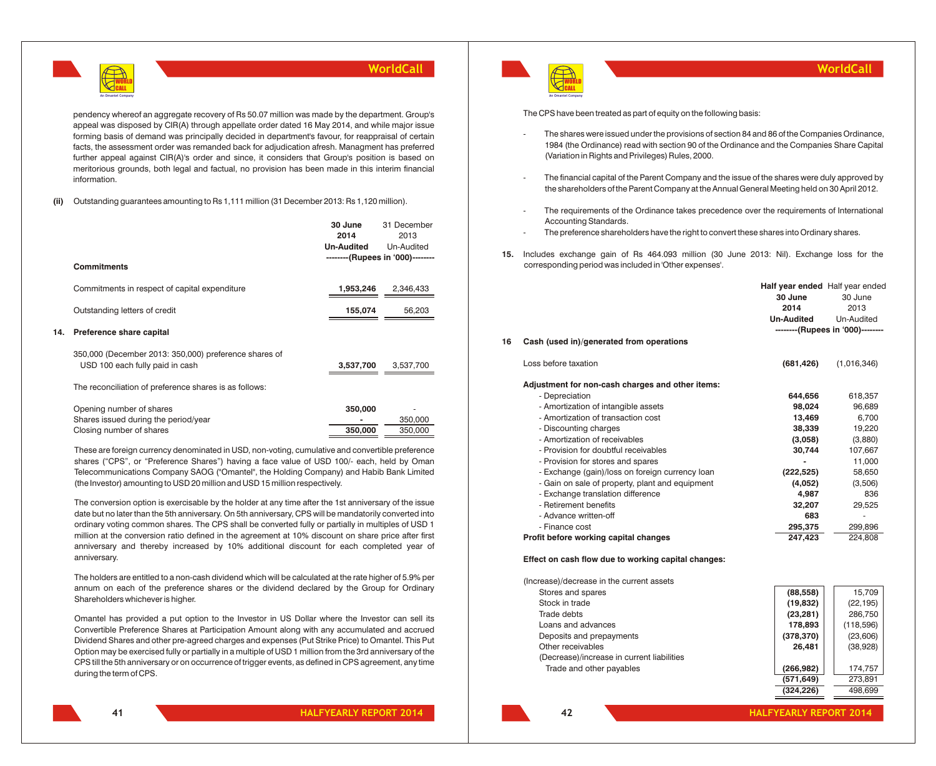

pendency whereof an aggregate recovery of Rs 50.07 million was made by the department. Group's appeal was disposed by CIR(A) through appellate order dated 16 May 2014, and while major issue forming basis of demand was principally decided in department's favour, for reappraisal of certain facts, the assessment order was remanded back for adjudication afresh. Managment has preferred further appeal against CIR(A)'s order and since, it considers that Group's position is based on meritorious grounds, both legal and factual, no provision has been made in this interim financial information.

### **(ii)** Outstanding guarantees amounting to Rs 1,111 million (31 December 2013: Rs 1,120 million).

|     |                                                                                          | 30 June<br>2014   | 31 December<br>2013              |
|-----|------------------------------------------------------------------------------------------|-------------------|----------------------------------|
|     |                                                                                          | <b>Un-Audited</b> | Un-Audited                       |
|     | <b>Commitments</b>                                                                       |                   | --------(Rupees in '000)-------- |
|     | Commitments in respect of capital expenditure                                            | 1,953,246         | 2,346,433                        |
|     | Outstanding letters of credit                                                            | 155,074           | 56,203                           |
| 14. | Preference share capital                                                                 |                   |                                  |
|     | 350,000 (December 2013: 350,000) preference shares of<br>USD 100 each fully paid in cash | 3,537,700         | 3,537,700                        |
|     | The reconciliation of preference shares is as follows:                                   |                   |                                  |
|     | Opening number of shares                                                                 | 350,000           |                                  |

| Shares issued during the period/year |         | 350,000 |
|--------------------------------------|---------|---------|
| Closing number of shares             | 350,000 | 350,000 |
|                                      |         |         |

These are foreign currency denominated in USD, non-voting, cumulative and convertible preference shares ("CPS", or "Preference Shares") having a face value of USD 100/- each, held by Oman Telecommunications Company SAOG ("Omantel", the Holding Company) and Habib Bank Limited (the Investor) amounting to USD 20 million and USD 15 million respectively.

The conversion option is exercisable by the holder at any time after the 1st anniversary of the issue date but no later than the 5th anniversary. On 5th anniversary, CPS will be mandatorily converted into ordinary voting common shares. The CPS shall be converted fully or partially in multiples of USD 1 million at the conversion ratio defined in the agreement at 10% discount on share price after first anniversary and thereby increased by 10% additional discount for each completed year of anniversary.

The holders are entitled to a non-cash dividend which will be calculated at the rate higher of 5.9% per annum on each of the preference shares or the dividend declared by the Group for Ordinary Shareholders whichever is higher.

Omantel has provided a put option to the Investor in US Dollar where the Investor can sell its Convertible Preference Shares at Participation Amount along with any accumulated and accrued Dividend Shares and other pre-agreed charges and expenses (Put Strike Price) to Omantel. This Put Option may be exercised fully or partially in a multiple of USD 1 million from the 3rd anniversary of the CPS till the 5th anniversary or on occurrence of trigger events, as defined in CPS agreement, any time during the term of CPS.



### **WorldCall**

The CPS have been treated as part of equity on the following basis:

- The shares were issued under the provisions of section 84 and 86 of the Companies Ordinance, 1984 (the Ordinance) read with section 90 of the Ordinance and the Companies Share Capital (Variation in Rights and Privileges) Rules, 2000.
- The financial capital of the Parent Company and the issue of the shares were duly approved by the shareholders of the Parent Company at the Annual General Meeting held on 30 April 2012.
- The requirements of the Ordinance takes precedence over the requirements of International Accounting Standards.
- The preference shareholders have the right to convert these shares into Ordinary shares.
- **15.** Includes exchange gain of Rs 464.093 million (30 June 2013: Nil). Exchange loss for the corresponding period was included in 'Other expenses'.

|    |                                                  | <b>Half year ended</b> Half year ended |                                  |
|----|--------------------------------------------------|----------------------------------------|----------------------------------|
|    |                                                  | 30 June                                | 30 June                          |
|    |                                                  | 2014                                   | 2013                             |
|    |                                                  | <b>Un-Audited</b>                      | Un-Audited                       |
|    |                                                  |                                        | --------(Rupees in '000)-------- |
| 16 | Cash (used in)/generated from operations         |                                        |                                  |
|    | Loss before taxation                             | (681, 426)                             | (1,016,346)                      |
|    | Adjustment for non-cash charges and other items: |                                        |                                  |
|    | - Depreciation                                   | 644,656                                | 618,357                          |
|    | - Amortization of intangible assets              | 98,024                                 | 96,689                           |
|    | - Amortization of transaction cost               | 13,469                                 | 6,700                            |
|    | - Discounting charges                            | 38,339                                 | 19,220                           |
|    | - Amortization of receivables                    | (3,058)                                | (3,880)                          |
|    | - Provision for doubtful receivables             | 30,744                                 | 107,667                          |
|    | - Provision for stores and spares                |                                        | 11,000                           |
|    | - Exchange (gain)/loss on foreign currency loan  | (222, 525)                             | 58,650                           |
|    | - Gain on sale of property, plant and equipment  | (4,052)                                | (3,506)                          |
|    | - Exchange translation difference                | 4,987                                  | 836                              |
|    | - Retirement benefits                            | 32,207                                 | 29,525                           |
|    | - Advance written-off                            | 683                                    |                                  |
|    | - Finance cost                                   | 295,375                                | 299,896                          |
|    | Profit before working capital changes            | 247,423                                | 224,808                          |
|    |                                                  |                                        |                                  |

### **Effect on cash flow due to working capital changes:**

(Increase)/decrease in the current assets

| Stores and spares                          | (88, 558)  | 15.709    |
|--------------------------------------------|------------|-----------|
| Stock in trade                             | (19, 832)  | (22, 195) |
| Trade debts                                | (23, 281)  | 286,750   |
| Loans and advances                         | 178,893    | (118,596) |
| Deposits and prepayments                   | (378, 370) | (23,606)  |
| Other receivables                          | 26.481     | (38,928)  |
| (Decrease)/increase in current liabilities |            |           |
| Trade and other payables                   | (266, 982) | 174.757   |
|                                            | (571, 649) | 273.891   |

**42**

**(324,226)** 498,699